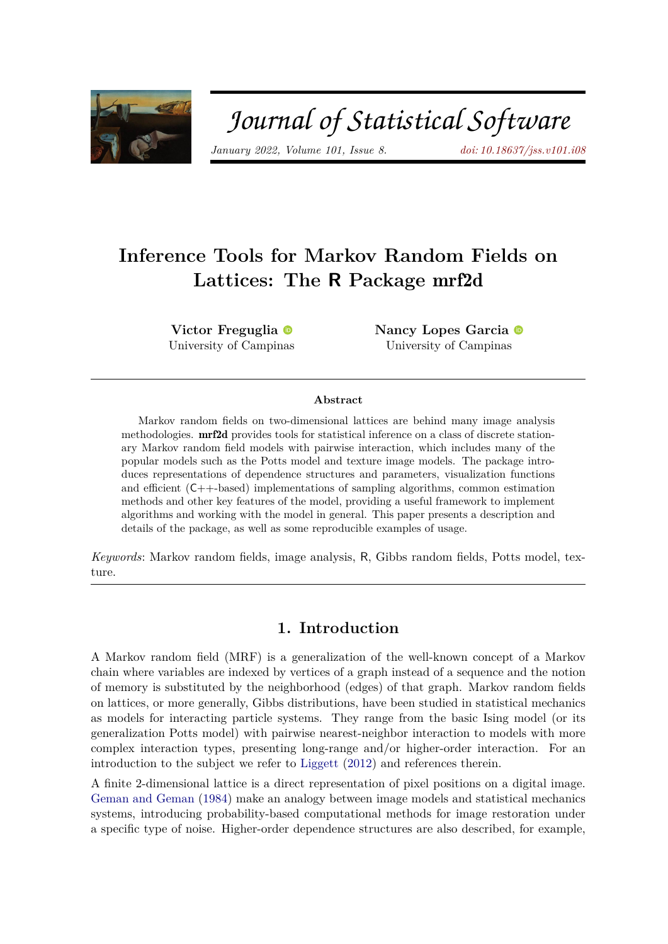

# Journal of Statistical Software

*January 2022, Volume 101, Issue 8. [doi: 10.18637/jss.v101.i08](https://doi.org/10.18637/jss.v101.i08)*

## **Inference Tools for Markov Random Fields on Lattices: The R Package** mrf2d

**Victor Freguglia** University of Campi[nas](https://orcid.org/0000-0002-6189-4453)

**Nancy Lopes Garcia** University of Campinas

#### **Abstract**

Markov random fields on two-dimensional lattices are behind many image analysis methodologies. mrf2d provides tools for statistical inference on a class of discrete stationary Markov random field models with pairwise interaction, which includes many of the popular models such as the Potts model and texture image models. The package introduces representations of dependence structures and parameters, visualization functions and efficient (C++-based) implementations of sampling algorithms, common estimation methods and other key features of the model, providing a useful framework to implement algorithms and working with the model in general. This paper presents a description and details of the package, as well as some reproducible examples of usage.

*Keywords*: Markov random fields, image analysis, R, Gibbs random fields, Potts model, texture.

## **1. Introduction**

A Markov random field (MRF) is a generalization of the well-known concept of a Markov chain where variables are indexed by vertices of a graph instead of a sequence and the notion of memory is substituted by the neighborhood (edges) of that graph. Markov random fields on lattices, or more generally, Gibbs distributions, have been studied in statistical mechanics as models for interacting particle systems. They range from the basic Ising model (or its generalization Potts model) with pairwise nearest-neighbor interaction to models with more complex interaction types, presenting long-range and/or higher-order interaction. For an introduction to the subject we refer to [Liggett](#page-30-0) [\(2012\)](#page-30-0) and references therein.

A finite 2-dimensional lattice is a direct representation of pixel positions on a digital image. [Geman and Geman](#page-29-0) [\(1984\)](#page-29-0) make an analogy between image models and statistical mechanics systems, introducing probability-based computational methods for image restoration under a specific type of noise. Higher-order dependence structures are also described, for example,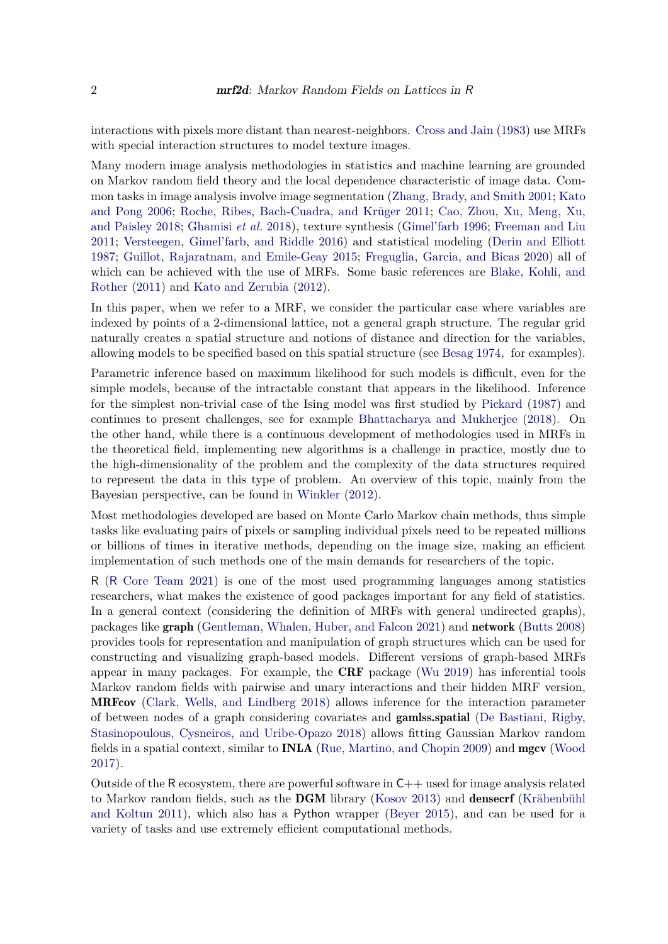interactions with pixels more distant than nearest-neighbors. [Cross and Jain](#page-28-0) [\(1983\)](#page-28-0) use MRFs with special interaction structures to model texture images.

Many modern image analysis methodologies in statistics and machine learning are grounded on Markov random field theory and the local dependence characteristic of image data. Common tasks in image analysis involve image segmentation [\(Zhang, Brady, and Smith](#page-31-0) [2001;](#page-31-0) [Kato](#page-29-1) [and Pong](#page-29-1) [2006;](#page-29-1) [Roche, Ribes, Bach-Cuadra, and Krüger](#page-30-1) [2011;](#page-30-1) [Cao, Zhou, Xu, Meng, Xu,](#page-28-1) [and Paisley](#page-28-1) [2018;](#page-28-1) [Ghamisi](#page-29-2) *et al.* [2018\)](#page-29-2), texture synthesis [\(Gimel'farb](#page-29-3) [1996;](#page-29-3) [Freeman and Liu](#page-28-2) [2011;](#page-28-2) [Versteegen, Gimel'farb, and Riddle](#page-31-1) [2016\)](#page-31-1) and statistical modeling [\(Derin and Elliott](#page-28-3) [1987;](#page-28-3) [Guillot, Rajaratnam, and Emile-Geay](#page-29-4) [2015;](#page-29-4) [Freguglia, Garcia, and Bicas](#page-29-5) [2020\)](#page-29-5) all of which can be achieved with the use of MRFs. Some basic references are [Blake, Kohli, and](#page-28-4) [Rother](#page-28-4) [\(2011\)](#page-28-4) and [Kato and Zerubia](#page-29-6) [\(2012\)](#page-29-6).

In this paper, when we refer to a MRF, we consider the particular case where variables are indexed by points of a 2-dimensional lattice, not a general graph structure. The regular grid naturally creates a spatial structure and notions of distance and direction for the variables, allowing models to be specified based on this spatial structure (see [Besag](#page-27-0) [1974,](#page-27-0) for examples).

Parametric inference based on maximum likelihood for such models is difficult, even for the simple models, because of the intractable constant that appears in the likelihood. Inference for the simplest non-trivial case of the Ising model was first studied by [Pickard](#page-30-2) [\(1987\)](#page-30-2) and continues to present challenges, see for example [Bhattacharya and Mukherjee](#page-28-5) [\(2018\)](#page-28-5). On the other hand, while there is a continuous development of methodologies used in MRFs in the theoretical field, implementing new algorithms is a challenge in practice, mostly due to the high-dimensionality of the problem and the complexity of the data structures required to represent the data in this type of problem. An overview of this topic, mainly from the Bayesian perspective, can be found in [Winkler](#page-31-2) [\(2012\)](#page-31-2).

Most methodologies developed are based on Monte Carlo Markov chain methods, thus simple tasks like evaluating pairs of pixels or sampling individual pixels need to be repeated millions or billions of times in iterative methods, depending on the image size, making an efficient implementation of such methods one of the main demands for researchers of the topic.

R (R [Core Team](#page-30-3) [2021\)](#page-30-3) is one of the most used programming languages among statistics researchers, what makes the existence of good packages important for any field of statistics. In a general context (considering the definition of MRFs with general undirected graphs), packages like graph [\(Gentleman, Whalen, Huber, and Falcon](#page-29-7) [2021\)](#page-29-7) and network [\(Butts](#page-28-6) [2008\)](#page-28-6) provides tools for representation and manipulation of graph structures which can be used for constructing and visualizing graph-based models. Different versions of graph-based MRFs appear in many packages. For example, the **CRF** package [\(Wu](#page-31-3) [2019\)](#page-31-3) has inferential tools Markov random fields with pairwise and unary interactions and their hidden MRF version, MRFcov [\(Clark, Wells, and Lindberg](#page-28-7) [2018\)](#page-28-7) allows inference for the interaction parameter of between nodes of a graph considering covariates and gamlss.spatial [\(De Bastiani, Rigby,](#page-28-8) [Stasinopoulous, Cysneiros, and Uribe-Opazo](#page-28-8) [2018\)](#page-28-8) allows fitting Gaussian Markov random fields in a spatial context, similar to INLA [\(Rue, Martino, and Chopin](#page-30-4) [2009\)](#page-30-4) and mgcv [\(Wood](#page-31-4) [2017\)](#page-31-4).

Outside of the R ecosystem, there are powerful software in  $C_{++}$  used for image analysis related to Markov random fields, such as the DGM library [\(Kosov](#page-30-5) [2013\)](#page-30-5) and densecrf [\(Krähenbühl](#page-30-6) [and Koltun](#page-30-6) [2011\)](#page-30-6), which also has a Python wrapper [\(Beyer](#page-28-9) [2015\)](#page-28-9), and can be used for a variety of tasks and use extremely efficient computational methods.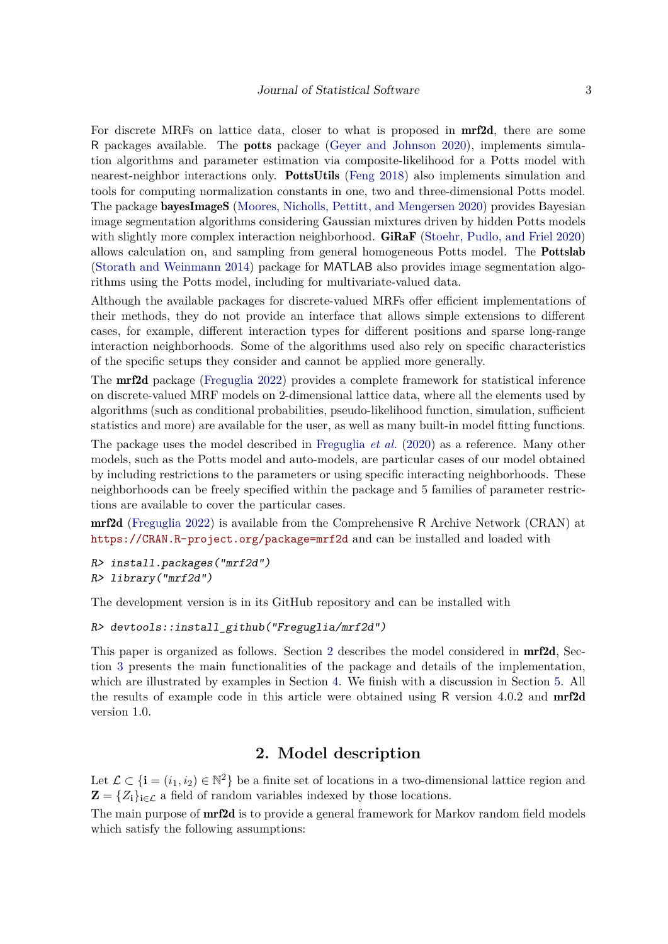For discrete MRFs on lattice data, closer to what is proposed in mrf2d, there are some R packages available. The potts package [\(Geyer and Johnson](#page-29-8) [2020\)](#page-29-8), implements simulation algorithms and parameter estimation via composite-likelihood for a Potts model with nearest-neighbor interactions only. PottsUtils [\(Feng](#page-28-10) [2018\)](#page-28-10) also implements simulation and tools for computing normalization constants in one, two and three-dimensional Potts model. The package bayesImageS [\(Moores, Nicholls, Pettitt, and Mengersen](#page-30-7) [2020\)](#page-30-7) provides Bayesian image segmentation algorithms considering Gaussian mixtures driven by hidden Potts models with slightly more complex interaction neighborhood. **GiRaF** [\(Stoehr, Pudlo, and Friel](#page-30-8) [2020\)](#page-30-8) allows calculation on, and sampling from general homogeneous Potts model. The Pottslab [\(Storath and Weinmann](#page-30-9) [2014\)](#page-30-9) package for MATLAB also provides image segmentation algorithms using the Potts model, including for multivariate-valued data.

Although the available packages for discrete-valued MRFs offer efficient implementations of their methods, they do not provide an interface that allows simple extensions to different cases, for example, different interaction types for different positions and sparse long-range interaction neighborhoods. Some of the algorithms used also rely on specific characteristics of the specific setups they consider and cannot be applied more generally.

The mrf2d package [\(Freguglia](#page-29-9) [2022\)](#page-29-9) provides a complete framework for statistical inference on discrete-valued MRF models on 2-dimensional lattice data, where all the elements used by algorithms (such as conditional probabilities, pseudo-likelihood function, simulation, sufficient statistics and more) are available for the user, as well as many built-in model fitting functions.

The package uses the model described in [Freguglia](#page-29-5) *et al.* [\(2020\)](#page-29-5) as a reference. Many other models, such as the Potts model and auto-models, are particular cases of our model obtained by including restrictions to the parameters or using specific interacting neighborhoods. These neighborhoods can be freely specified within the package and 5 families of parameter restrictions are available to cover the particular cases.

mrf2d [\(Freguglia](#page-29-9) [2022\)](#page-29-9) is available from the Comprehensive R Archive Network (CRAN) at <https://CRAN.R-project.org/package=mrf2d> and can be installed and loaded with

```
R> install.packages("mrf2d")
R> library("mrf2d")
```
The development version is in its GitHub repository and can be installed with

```
R> devtools::install_github("Freguglia/mrf2d")
```
This paper is organized as follows. Section [2](#page-2-0) describes the model considered in **mrf2d**, Section [3](#page-8-0) presents the main functionalities of the package and details of the implementation, which are illustrated by examples in Section [4.](#page-17-0) We finish with a discussion in Section [5.](#page-26-0) All the results of example code in this article were obtained using R version 4.0.2 and mrf2d version 1.0.

## **2. Model description**

<span id="page-2-0"></span>Let  $\mathcal{L} \subset \{\mathbf{i} = (i_1, i_2) \in \mathbb{N}^2\}$  be a finite set of locations in a two-dimensional lattice region and  $\mathbf{Z} = \{Z_i\}_{i \in \mathcal{L}}$  a field of random variables indexed by those locations.

The main purpose of **mrf2d** is to provide a general framework for Markov random field models which satisfy the following assumptions: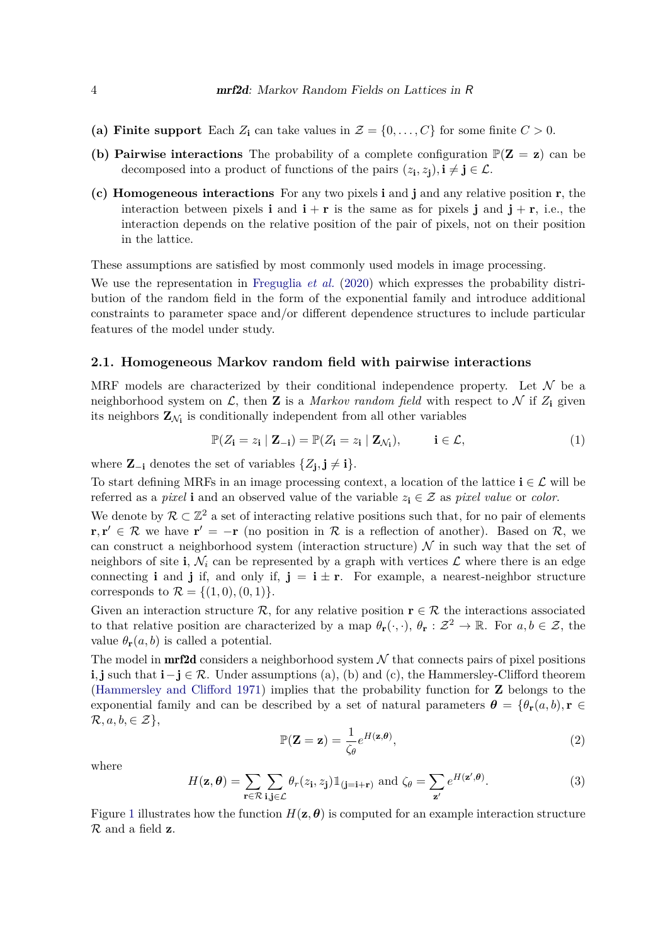- (a) Finite support Each  $Z_i$  can take values in  $\mathcal{Z} = \{0, \ldots, C\}$  for some finite  $C > 0$ .
- **(b) Pairwise interactions** The probability of a complete configuration  $\mathbb{P}(Z = z)$  can be decomposed into a product of functions of the pairs  $(z_i, z_j)$ ,  $i \neq j \in \mathcal{L}$ .
- **(c) Homogeneous interactions** For any two pixels **i** and **j** and any relative position **r**, the interaction between pixels **i** and  $\mathbf{i} + \mathbf{r}$  is the same as for pixels **j** and  $\mathbf{j} + \mathbf{r}$ , i.e., the interaction depends on the relative position of the pair of pixels, not on their position in the lattice.

These assumptions are satisfied by most commonly used models in image processing.

We use the representation in [Freguglia](#page-29-5) *et al.* [\(2020\)](#page-29-5) which expresses the probability distribution of the random field in the form of the exponential family and introduce additional constraints to parameter space and/or different dependence structures to include particular features of the model under study.

#### **2.1. Homogeneous Markov random field with pairwise interactions**

MRF models are characterized by their conditional independence property. Let  $\mathcal N$  be a neighborhood system on  $\mathcal{L}$ , then **Z** is a *Markov random field* with respect to  $\mathcal{N}$  if  $Z_i$  given its neighbors  $\mathbf{Z}_{N_i}$  is conditionally independent from all other variables

$$
\mathbb{P}(Z_{\mathbf{i}} = z_{\mathbf{i}} \mid \mathbf{Z}_{-\mathbf{i}}) = \mathbb{P}(Z_{\mathbf{i}} = z_{\mathbf{i}} \mid \mathbf{Z}_{\mathcal{N}_{\mathbf{i}}}), \qquad \mathbf{i} \in \mathcal{L}, \tag{1}
$$

where  $\mathbf{Z}_{-i}$  denotes the set of variables  $\{Z_j, j \neq i\}$ .

To start defining MRFs in an image processing context, a location of the lattice  $\mathbf{i} \in \mathcal{L}$  will be referred as a *pixel* **i** and an observed value of the variable  $z_i \in \mathcal{Z}$  as *pixel value* or *color*.

We denote by  $\mathcal{R} \subset \mathbb{Z}^2$  a set of interacting relative positions such that, for no pair of elements **r**, **r**<sup> $\prime$ </sup> ∈ R we have **r**<sup> $\prime$ </sup> = −**r** (no position in R is a reflection of another). Based on R, we can construct a neighborhood system (interaction structure)  $\mathcal N$  in such way that the set of neighbors of site **i**,  $\mathcal{N}_i$  can be represented by a graph with vertices  $\mathcal{L}$  where there is an edge connecting **i** and **j** if, and only if,  $\mathbf{j} = \mathbf{i} \pm \mathbf{r}$ . For example, a nearest-neighbor structure corresponds to  $\mathcal{R} = \{(1,0), (0,1)\}.$ 

Given an interaction structure  $\mathcal{R}$ , for any relative position  $\mathbf{r} \in \mathcal{R}$  the interactions associated to that relative position are characterized by a map  $\theta_{\mathbf{r}}(\cdot, \cdot)$ ,  $\theta_{\mathbf{r}} : \mathcal{Z}^2 \to \mathbb{R}$ . For  $a, b \in \mathcal{Z}$ , the value  $\theta_r(a, b)$  is called a potential.

The model in **mrf2d** considers a neighborhood system  $N$  that connects pairs of pixel positions **i**, **j** such that  $\mathbf{i} - \mathbf{j} \in \mathcal{R}$ . Under assumptions (a), (b) and (c), the Hammersley-Clifford theorem [\(Hammersley and Clifford](#page-29-10) [1971\)](#page-29-10) implies that the probability function for **Z** belongs to the exponential family and can be described by a set of natural parameters  $\theta = {\theta_r(a, b), r \in \mathbb{R}^n}$  $\mathcal{R}, a, b, \in \mathcal{Z}\},\$ 

<span id="page-3-0"></span>
$$
\mathbb{P}(\mathbf{Z} = \mathbf{z}) = \frac{1}{\zeta_{\theta}} e^{H(\mathbf{z}, \theta)},
$$
\n(2)

where

$$
H(\mathbf{z}, \boldsymbol{\theta}) = \sum_{\mathbf{r} \in \mathcal{R}} \sum_{\mathbf{i}, \mathbf{j} \in \mathcal{L}} \theta_r(z_{\mathbf{i}}, z_{\mathbf{j}}) \mathbb{1}_{(\mathbf{j} = \mathbf{i} + \mathbf{r})} \text{ and } \zeta_{\theta} = \sum_{\mathbf{z}'} e^{H(\mathbf{z}', \boldsymbol{\theta})}.
$$
 (3)

Figure [1](#page-4-0) illustrates how the function  $H(\mathbf{z}, \boldsymbol{\theta})$  is computed for an example interaction structure R and a field **z**.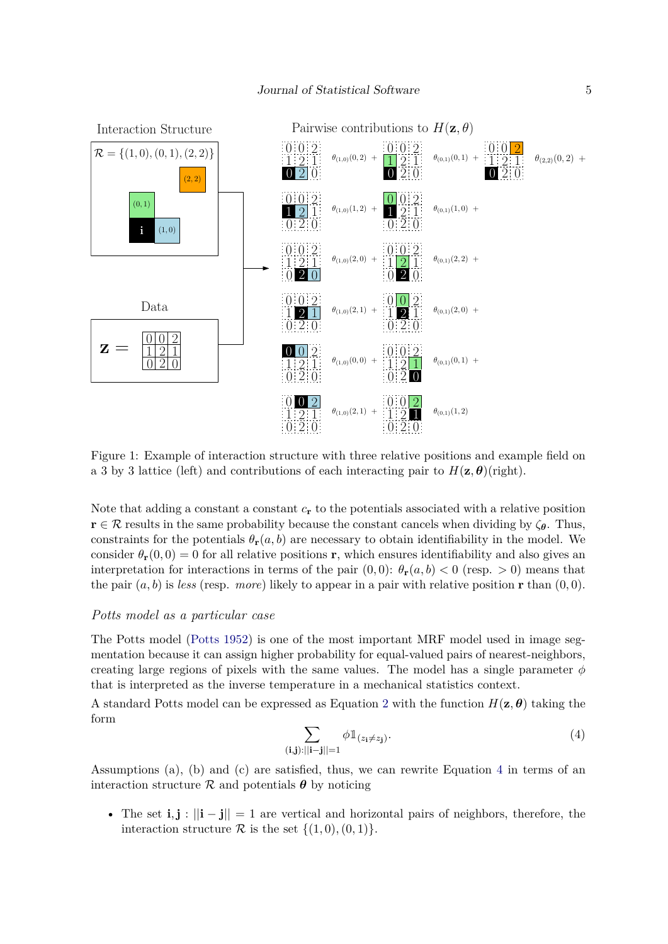

<span id="page-4-0"></span>Figure 1: Example of interaction structure with three relative positions and example field on a 3 by 3 lattice (left) and contributions of each interacting pair to  $H(\mathbf{z}, \boldsymbol{\theta})$ (right).

Note that adding a constant a constant *c***<sup>r</sup>** to the potentials associated with a relative position  $\mathbf{r} \in \mathcal{R}$  results in the same probability because the constant cancels when dividing by  $\zeta_{\theta}$ . Thus, constraints for the potentials  $\theta_r(a, b)$  are necessary to obtain identifiability in the model. We consider  $\theta_r(0,0) = 0$  for all relative positions **r**, which ensures identifiability and also gives an interpretation for interactions in terms of the pair  $(0,0)$ :  $\theta_{\bf r}(a,b) < 0$  (resp.  $> 0$ ) means that the pair  $(a, b)$  is *less* (resp. *more*) likely to appear in a pair with relative position **r** than  $(0, 0)$ .

#### <span id="page-4-2"></span>*Potts model as a particular case*

The Potts model [\(Potts](#page-30-10) [1952\)](#page-30-10) is one of the most important MRF model used in image segmentation because it can assign higher probability for equal-valued pairs of nearest-neighbors, creating large regions of pixels with the same values. The model has a single parameter  $\phi$ that is interpreted as the inverse temperature in a mechanical statistics context.

A standard Potts model can be expressed as Equation [2](#page-3-0) with the function  $H(\mathbf{z}, \boldsymbol{\theta})$  taking the form

<span id="page-4-1"></span>
$$
\sum_{(\mathbf{i},\mathbf{j}):||\mathbf{i}-\mathbf{j}||=1} \phi \mathbb{1}_{(z_{\mathbf{i}}\neq z_{\mathbf{j}})}.\tag{4}
$$

Assumptions (a), (b) and (c) are satisfied, thus, we can rewrite Equation [4](#page-4-1) in terms of an interaction structure  $\mathcal R$  and potentials  $\boldsymbol{\theta}$  by noticing

• The set **i***,***j** : ||**i** − **j**|| = 1 are vertical and horizontal pairs of neighbors, therefore, the interaction structure  $\mathcal R$  is the set  $\{(1,0), (0,1)\}.$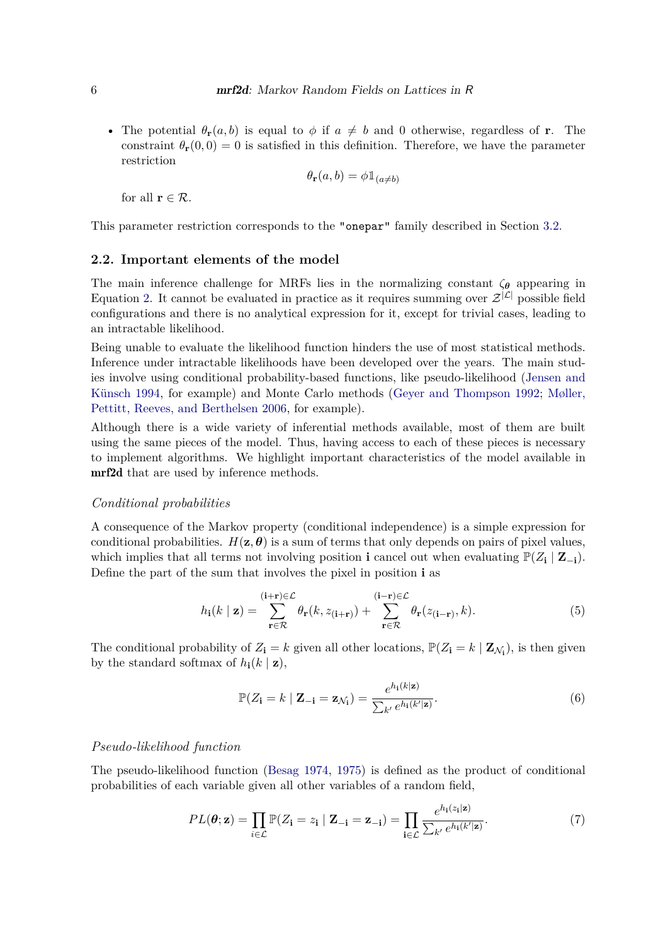• The potential  $\theta_r(a, b)$  is equal to  $\phi$  if  $a \neq b$  and 0 otherwise, regardless of **r**. The constraint  $\theta_{r}(0,0) = 0$  is satisfied in this definition. Therefore, we have the parameter restriction

$$
\theta_{\mathbf{r}}(a,b) = \phi \mathbb{1}_{(a \neq b)}
$$

for all  $\mathbf{r} \in \mathcal{R}$ .

This parameter restriction corresponds to the "onepar" family described in Section [3.2.](#page-10-0)

## **2.2. Important elements of the model**

The main inference challenge for MRFs lies in the normalizing constant  $\zeta_{\theta}$  appearing in Equation [2.](#page-3-0) It cannot be evaluated in practice as it requires summing over  $\mathcal{Z}^{|\mathcal{L}|}$  possible field configurations and there is no analytical expression for it, except for trivial cases, leading to an intractable likelihood.

Being unable to evaluate the likelihood function hinders the use of most statistical methods. Inference under intractable likelihoods have been developed over the years. The main studies involve using conditional probability-based functions, like pseudo-likelihood [\(Jensen and](#page-29-11) [Künsch](#page-29-11) [1994,](#page-29-11) for example) and Monte Carlo methods [\(Geyer and Thompson](#page-29-12) [1992;](#page-29-12) [Møller,](#page-30-11) [Pettitt, Reeves, and Berthelsen](#page-30-11) [2006,](#page-30-11) for example).

Although there is a wide variety of inferential methods available, most of them are built using the same pieces of the model. Thus, having access to each of these pieces is necessary to implement algorithms. We highlight important characteristics of the model available in mrf2d that are used by inference methods.

#### *Conditional probabilities*

A consequence of the Markov property (conditional independence) is a simple expression for conditional probabilities.  $H(\mathbf{z}, \theta)$  is a sum of terms that only depends on pairs of pixel values, which implies that all terms not involving position **i** cancel out when evaluating  $\mathbb{P}(Z_i | \mathbf{Z}_{-i})$ . Define the part of the sum that involves the pixel in position **i** as

$$
h_{\mathbf{i}}(k \mid \mathbf{z}) = \sum_{\mathbf{r} \in \mathcal{R}}^{(\mathbf{i} + \mathbf{r}) \in \mathcal{L}} \theta_{\mathbf{r}}(k, z_{(\mathbf{i} + \mathbf{r})}) + \sum_{\mathbf{r} \in \mathcal{R}}^{(\mathbf{i} - \mathbf{r}) \in \mathcal{L}} \theta_{\mathbf{r}}(z_{(\mathbf{i} - \mathbf{r})}, k).
$$
(5)

The conditional probability of  $Z_i = k$  given all other locations,  $\mathbb{P}(Z_i = k | \mathbf{Z}_{\mathcal{N}_i})$ , is then given by the standard softmax of  $h_i(k \mid \mathbf{z})$ ,

<span id="page-5-0"></span>
$$
\mathbb{P}(Z_{\mathbf{i}} = k \mid \mathbf{Z}_{-\mathbf{i}} = \mathbf{z}_{\mathcal{N}_{\mathbf{i}}}) = \frac{e^{h_{\mathbf{i}}(k|\mathbf{z})}}{\sum_{k'} e^{h_{\mathbf{i}}(k'|\mathbf{z})}}.
$$
(6)

## *Pseudo-likelihood function*

The pseudo-likelihood function [\(Besag](#page-27-0) [1974,](#page-27-0) [1975\)](#page-27-1) is defined as the product of conditional probabilities of each variable given all other variables of a random field,

<span id="page-5-1"></span>
$$
PL(\boldsymbol{\theta}; \mathbf{z}) = \prod_{i \in \mathcal{L}} \mathbb{P}(Z_i = z_i \mid \mathbf{Z}_{-i} = \mathbf{z}_{-i}) = \prod_{i \in \mathcal{L}} \frac{e^{h_i(z_i|\mathbf{z})}}{\sum_{k'} e^{h_i(k'|\mathbf{z})}}.
$$
(7)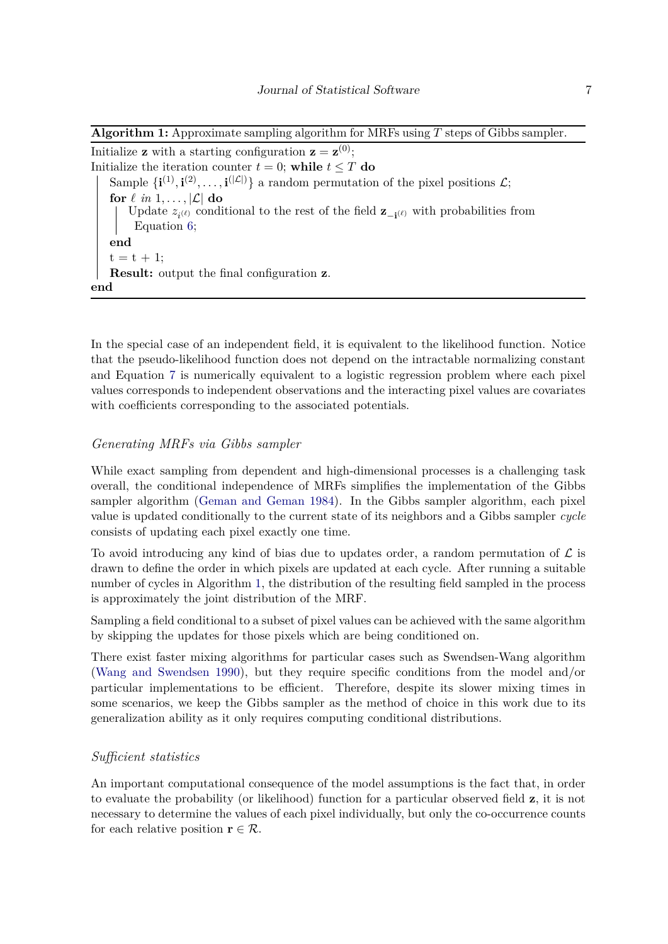**Algorithm 1:** Approximate sampling algorithm for MRFs using *T* steps of Gibbs sampler.

Initialize **z** with a starting configuration  $\mathbf{z} = \mathbf{z}^{(0)}$ ; Initialize the iteration counter  $t = 0$ ; while  $t \leq T$  do Sample  $\{i^{(1)}, i^{(2)}, \ldots, i^{(|\mathcal{L}|)}\}$  a random permutation of the pixel positions  $\mathcal{L}$ ; for  $\ell$  *in* 1, ...,  $|\mathcal{L}|$  do Update  $z_{i^{(\ell)}}$  conditional to the rest of the field  $\mathbf{z}_{-i^{(\ell)}}$  with probabilities from Equation [6;](#page-5-0) **end**  $t = t + 1$ ; **Result:** output the final configuration **z**. **end**

In the special case of an independent field, it is equivalent to the likelihood function. Notice that the pseudo-likelihood function does not depend on the intractable normalizing constant and Equation [7](#page-5-1) is numerically equivalent to a logistic regression problem where each pixel values corresponds to independent observations and the interacting pixel values are covariates with coefficients corresponding to the associated potentials.

## *Generating MRFs via Gibbs sampler*

While exact sampling from dependent and high-dimensional processes is a challenging task overall, the conditional independence of MRFs simplifies the implementation of the Gibbs sampler algorithm [\(Geman and Geman](#page-29-0) [1984\)](#page-29-0). In the Gibbs sampler algorithm, each pixel value is updated conditionally to the current state of its neighbors and a Gibbs sampler *cycle* consists of updating each pixel exactly one time.

To avoid introducing any kind of bias due to updates order, a random permutation of  $\mathcal L$  is drawn to define the order in which pixels are updated at each cycle. After running a suitable number of cycles in Algorithm [1,](#page-6-0) the distribution of the resulting field sampled in the process is approximately the joint distribution of the MRF.

<span id="page-6-0"></span>Sampling a field conditional to a subset of pixel values can be achieved with the same algorithm by skipping the updates for those pixels which are being conditioned on.

There exist faster mixing algorithms for particular cases such as Swendsen-Wang algorithm [\(Wang and Swendsen](#page-31-5) [1990\)](#page-31-5), but they require specific conditions from the model and/or particular implementations to be efficient. Therefore, despite its slower mixing times in some scenarios, we keep the Gibbs sampler as the method of choice in this work due to its generalization ability as it only requires computing conditional distributions.

## *Sufficient statistics*

An important computational consequence of the model assumptions is the fact that, in order to evaluate the probability (or likelihood) function for a particular observed field **z**, it is not necessary to determine the values of each pixel individually, but only the co-occurrence counts for each relative position  $\mathbf{r} \in \mathcal{R}$ .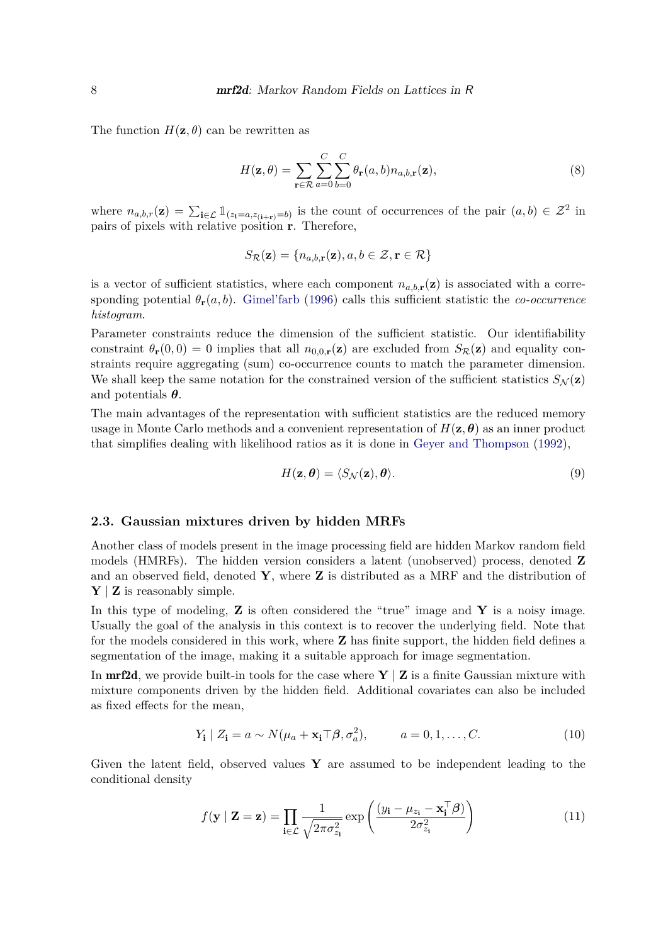The function  $H(\mathbf{z}, \theta)$  can be rewritten as

$$
H(\mathbf{z}, \theta) = \sum_{\mathbf{r} \in \mathcal{R}} \sum_{a=0}^{C} \sum_{b=0}^{C} \theta_{\mathbf{r}}(a, b) n_{a, b, \mathbf{r}}(\mathbf{z}),
$$
\n(8)

where  $n_{a,b,r}(\mathbf{z}) = \sum_{\mathbf{i} \in \mathcal{L}} \mathbb{1}_{(z_{\mathbf{i}}=a,z_{(\mathbf{i}+\mathbf{r})}=b)}$  is the count of occurrences of the pair  $(a,b) \in \mathcal{Z}^2$  in pairs of pixels with relative position **r**. Therefore,

$$
S_{\mathcal{R}}(\mathbf{z}) = \{n_{a,b,\mathbf{r}}(\mathbf{z}), a, b \in \mathcal{Z}, \mathbf{r} \in \mathcal{R}\}
$$

is a vector of sufficient statistics, where each component  $n_{a,b,\mathbf{r}}(\mathbf{z})$  is associated with a corresponding potential  $\theta_r(a, b)$ . [Gimel'farb](#page-29-3) [\(1996\)](#page-29-3) calls this sufficient statistic the *co-occurrence histogram*.

Parameter constraints reduce the dimension of the sufficient statistic. Our identifiability constraint  $\theta_{\bf r}(0,0) = 0$  implies that all  $n_{0,0,\bf r}(\bf z)$  are excluded from  $S_{\cal R}(\bf z)$  and equality constraints require aggregating (sum) co-occurrence counts to match the parameter dimension. We shall keep the same notation for the constrained version of the sufficient statistics  $S_N(\mathbf{z})$ and potentials *θ*.

The main advantages of the representation with sufficient statistics are the reduced memory usage in Monte Carlo methods and a convenient representation of  $H(\mathbf{z}, \boldsymbol{\theta})$  as an inner product that simplifies dealing with likelihood ratios as it is done in [Geyer and Thompson](#page-29-12) [\(1992\)](#page-29-12),

<span id="page-7-1"></span>
$$
H(\mathbf{z}, \boldsymbol{\theta}) = \langle S_{\mathcal{N}}(\mathbf{z}), \boldsymbol{\theta} \rangle. \tag{9}
$$

## <span id="page-7-0"></span>**2.3. Gaussian mixtures driven by hidden MRFs**

Another class of models present in the image processing field are hidden Markov random field models (HMRFs). The hidden version considers a latent (unobserved) process, denoted **Z** and an observed field, denoted **Y**, where **Z** is distributed as a MRF and the distribution of **Y** | **Z** is reasonably simple.

In this type of modeling, **Z** is often considered the "true" image and **Y** is a noisy image. Usually the goal of the analysis in this context is to recover the underlying field. Note that for the models considered in this work, where **Z** has finite support, the hidden field defines a segmentation of the image, making it a suitable approach for image segmentation.

In **mrf2d**, we provide built-in tools for the case where  $\mathbf{Y} \mid \mathbf{Z}$  is a finite Gaussian mixture with mixture components driven by the hidden field. Additional covariates can also be included as fixed effects for the mean,

$$
Y_{\mathbf{i}} \mid Z_{\mathbf{i}} = a \sim N(\mu_a + \mathbf{x}_{\mathbf{i}} \top \boldsymbol{\beta}, \sigma_a^2), \qquad a = 0, 1, \dots, C. \tag{10}
$$

Given the latent field, observed values  $\bf{Y}$  are assumed to be independent leading to the conditional density

$$
f(\mathbf{y} \mid \mathbf{Z} = \mathbf{z}) = \prod_{\mathbf{i} \in \mathcal{L}} \frac{1}{\sqrt{2\pi \sigma_{z_{\mathbf{i}}}^2}} \exp\left(\frac{(y_{\mathbf{i}} - \mu_{z_{\mathbf{i}}} - \mathbf{x}_{\mathbf{i}}^\top \boldsymbol{\beta})}{2\sigma_{z_{\mathbf{i}}}^2}\right)
$$
(11)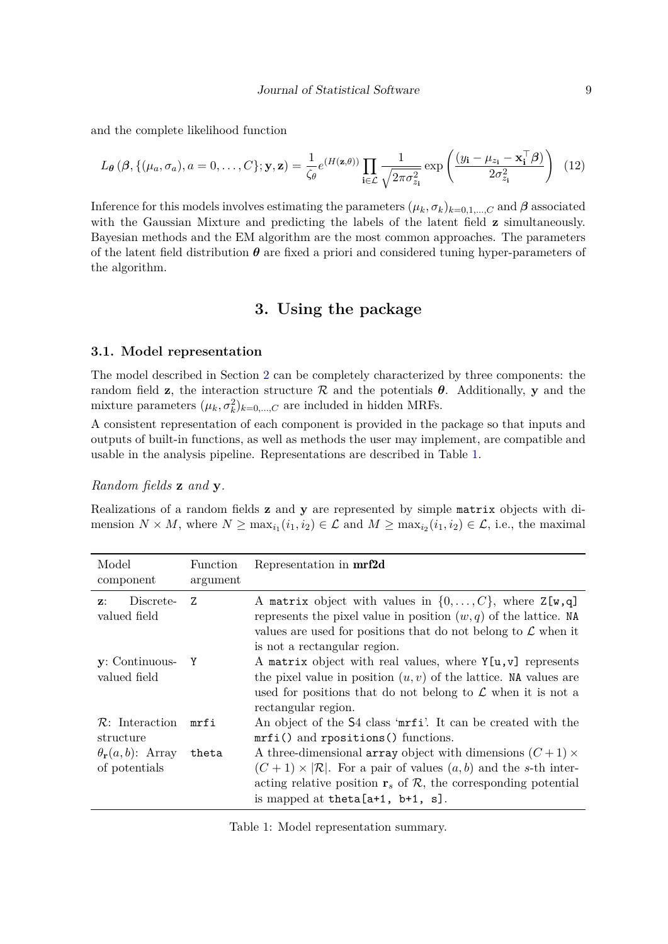and the complete likelihood function

$$
L_{\theta}(\beta, \{(\mu_a, \sigma_a), a = 0, \dots, C\}; \mathbf{y}, \mathbf{z}) = \frac{1}{\zeta_{\theta}} e^{(H(\mathbf{z}, \theta))} \prod_{\mathbf{i} \in \mathcal{L}} \frac{1}{\sqrt{2\pi \sigma_{z_i}^2}} \exp\left(\frac{(y_{\mathbf{i}} - \mu_{z_{\mathbf{i}}} - \mathbf{x}_{\mathbf{i}}^{\top}\boldsymbol{\beta})}{2\sigma_{z_{\mathbf{i}}}^2}\right) (12)
$$

Inference for this models involves estimating the parameters  $(\mu_k, \sigma_k)_{k=0,1,\dots,C}$  and  $\beta$  associated with the Gaussian Mixture and predicting the labels of the latent field **z** simultaneously. Bayesian methods and the EM algorithm are the most common approaches. The parameters of the latent field distribution  $\theta$  are fixed a priori and considered tuning hyper-parameters of the algorithm.

## **3. Using the package**

## <span id="page-8-0"></span>**3.1. Model representation**

The model described in Section [2](#page-2-0) can be completely characterized by three components: the random field **z**, the interaction structure  $\mathcal{R}$  and the potentials  $\theta$ . Additionally, **y** and the mixture parameters  $(\mu_k, \sigma_k^2)_{k=0,\dots,C}$  are included in hidden MRFs.

A consistent representation of each component is provided in the package so that inputs and outputs of built-in functions, as well as methods the user may implement, are compatible and usable in the analysis pipeline. Representations are described in Table [1.](#page-8-1)

## *Random fields* **z** *and* **y***.*

Realizations of a random fields **z** and **y** are represented by simple matrix objects with dimension  $N \times M$ , where  $N \ge \max_{i_1}(i_1, i_2) \in \mathcal{L}$  and  $M \ge \max_{i_2}(i_1, i_2) \in \mathcal{L}$ , i.e., the maximal

| Model<br>component                              | Function<br>argument | Representation in mrf2d                                                                                                                                                                                                                                                                |
|-------------------------------------------------|----------------------|----------------------------------------------------------------------------------------------------------------------------------------------------------------------------------------------------------------------------------------------------------------------------------------|
| Discrete-<br>$\mathbf{z}$ :<br>valued field     | 7.                   | A matrix object with values in $\{0,\ldots,C\}$ , where $Z[w,q]$<br>represents the pixel value in position $(w, q)$ of the lattice. NA<br>values are used for positions that do not belong to $\mathcal L$ when it<br>is not a rectangular region.                                     |
| $\mathbf{y}$ : Continuous- Y<br>valued field    |                      | A matrix object with real values, where $Y[u, v]$ represents<br>the pixel value in position $(u, v)$ of the lattice. NA values are<br>used for positions that do not belong to $\mathcal L$ when it is not a<br>rectangular region.                                                    |
| $\mathcal{R}$ : Interaction<br>structure        | mrfi                 | An object of the S4 class 'mrfi'. It can be created with the<br>$mrfi()$ and rpositions() functions.                                                                                                                                                                                   |
| $\theta_{\bf r}(a, b)$ : Array<br>of potentials | theta                | A three-dimensional array object with dimensions $(C+1) \times$<br>$(C+1) \times  \mathcal{R} $ . For a pair of values $(a, b)$ and the s-th inter-<br>acting relative position $\mathbf{r}_s$ of $\mathcal{R}$ , the corresponding potential<br>is mapped at the ta $[a+1, b+1, s]$ . |

<span id="page-8-1"></span>Table 1: Model representation summary.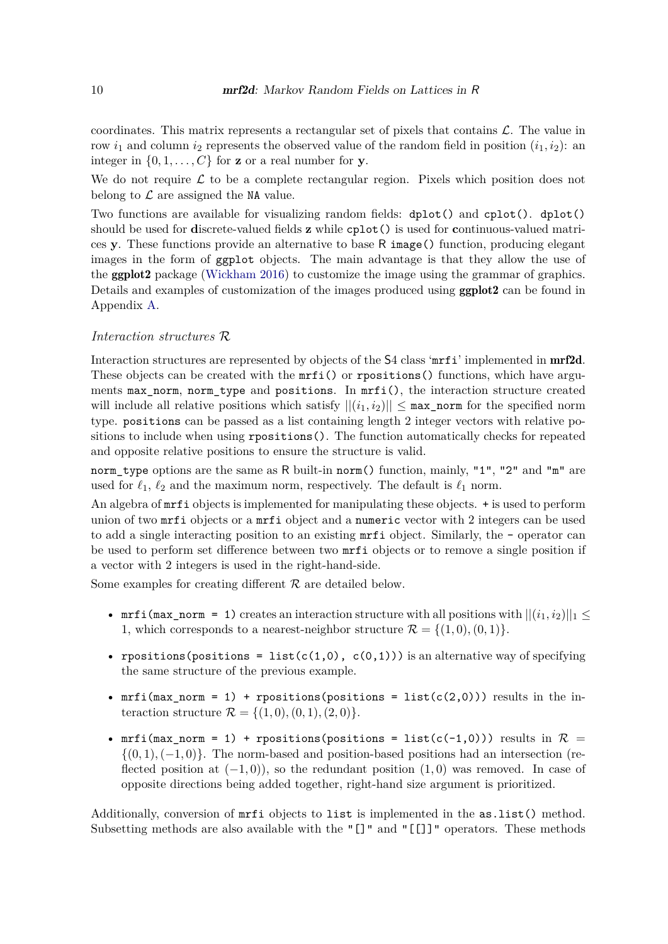coordinates. This matrix represents a rectangular set of pixels that contains  $\mathcal{L}$ . The value in row  $i_1$  and column  $i_2$  represents the observed value of the random field in position  $(i_1, i_2)$ : an integer in  $\{0, 1, \ldots, C\}$  for **z** or a real number for **y**.

We do not require  $\mathcal L$  to be a complete rectangular region. Pixels which position does not belong to  $\mathcal L$  are assigned the NA value.

Two functions are available for visualizing random fields: dplot() and cplot(). dplot() should be used for **d**iscrete-valued fields **z** while cplot() is used for **c**ontinuous-valued matrices **y**. These functions provide an alternative to base R image() function, producing elegant images in the form of ggplot objects. The main advantage is that they allow the use of the ggplot2 package [\(Wickham](#page-31-6) [2016\)](#page-31-6) to customize the image using the grammar of graphics. Details and examples of customization of the images produced using ggplot2 can be found in Appendix [A.](#page-32-0)

#### *Interaction structures* R

Interaction structures are represented by objects of the S4 class 'mrfi' implemented in mrf2d. These objects can be created with the  $mrfi()$  or rpositions() functions, which have arguments max\_norm, norm\_type and positions. In mrfi(), the interaction structure created will include all relative positions which satisfy  $||(i_1, i_2)|| \leq \max$  norm for the specified norm type. positions can be passed as a list containing length 2 integer vectors with relative positions to include when using rpositions(). The function automatically checks for repeated and opposite relative positions to ensure the structure is valid.

norm\_type options are the same as R built-in norm() function, mainly, "1", "2" and "m" are used for  $\ell_1$ ,  $\ell_2$  and the maximum norm, respectively. The default is  $\ell_1$  norm.

An algebra of mrfi objects is implemented for manipulating these objects. + is used to perform union of two mrfi objects or a mrfi object and a numeric vector with 2 integers can be used to add a single interacting position to an existing mrfi object. Similarly, the - operator can be used to perform set difference between two mrfi objects or to remove a single position if a vector with 2 integers is used in the right-hand-side.

Some examples for creating different  $R$  are detailed below.

- mrfi(max norm = 1) creates an interaction structure with all positions with  $||(i_1, i_2)||_1 <$ 1, which corresponds to a nearest-neighbor structure  $\mathcal{R} = \{(1,0), (0,1)\}.$
- rpositions(positions = list(c(1,0), c(0,1))) is an alternative way of specifying the same structure of the previous example.
- mrfi(max\_norm = 1) + rpositions(positions = list(c(2,0))) results in the interaction structure  $\mathcal{R} = \{(1,0), (0,1), (2,0)\}.$
- mrfi(max norm = 1) + rpositions(positions = list(c(-1,0))) results in  $\mathcal{R} =$  $\{(0,1), (-1,0)\}.$  The norm-based and position-based positions had an intersection (reflected position at (−1*,* 0)), so the redundant position (1*,* 0) was removed. In case of opposite directions being added together, right-hand size argument is prioritized.

Additionally, conversion of mrfi objects to list is implemented in the as.list() method. Subsetting methods are also available with the "[]" and "[[]]" operators. These methods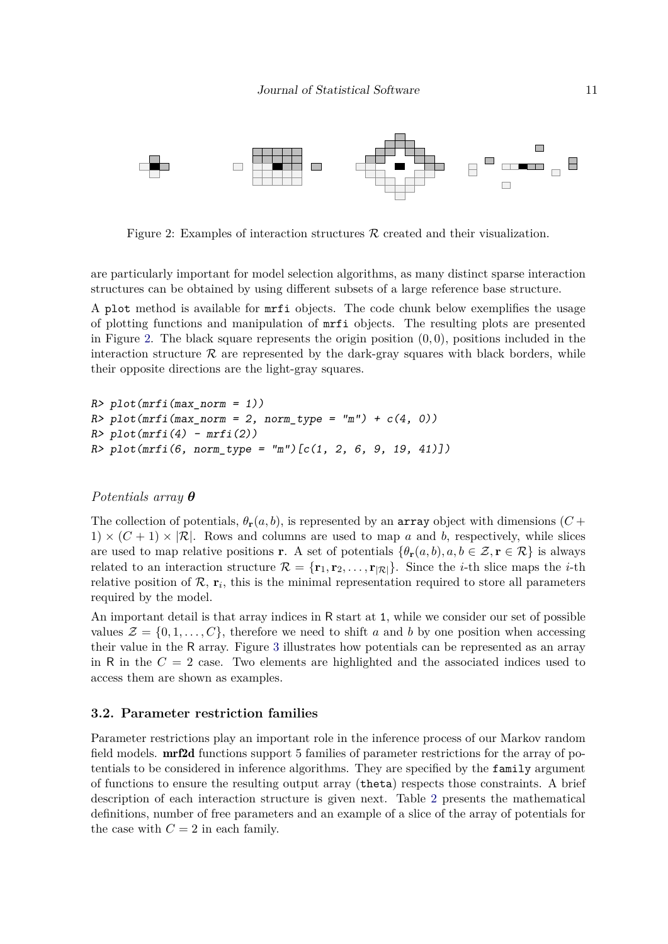

<span id="page-10-1"></span>Figure 2: Examples of interaction structures  $R$  created and their visualization.

are particularly important for model selection algorithms, as many distinct sparse interaction structures can be obtained by using different subsets of a large reference base structure.

A plot method is available for mrfi objects. The code chunk below exemplifies the usage of plotting functions and manipulation of mrfi objects. The resulting plots are presented in Figure [2.](#page-10-1) The black square represents the origin position (0*,* 0), positions included in the interaction structure  $\mathcal R$  are represented by the dark-gray squares with black borders, while their opposite directions are the light-gray squares.

```
R> plot(mrfi(max_norm = 1))
R> plot(mrfi(max\_norm = 2, norm_type = "m") + c(4, 0))R> plot(mrfi(4) - mrfi(2))R > plot(mrfi(6, norm_type = "m")[c(1, 2, 6, 9, 19, 41)])
```
## *Potentials array θ*

The collection of potentials,  $\theta_r(a, b)$ , is represented by an array object with dimensions (*C* + 1)  $\times$  (C + 1)  $\times$  |R|. Rows and columns are used to map *a* and *b*, respectively, while slices are used to map relative positions **r**. A set of potentials  $\{\theta_{\bf r}(a, b), a, b \in \mathcal{Z}, {\bf r} \in \mathcal{R}\}\)$  is always related to an interaction structure  $\mathcal{R} = {\mathbf{r}_1, \mathbf{r}_2, \dots, \mathbf{r}_{|\mathcal{R}|}}$ . Since the *i*-th slice maps the *i*-th relative position of  $\mathcal{R}$ ,  $\mathbf{r}_i$ , this is the minimal representation required to store all parameters required by the model.

An important detail is that array indices in R start at 1, while we consider our set of possible values  $\mathcal{Z} = \{0, 1, \ldots, C\}$ , therefore we need to shift *a* and *b* by one position when accessing their value in the R array. Figure [3](#page-11-0) illustrates how potentials can be represented as an array in R in the  $C = 2$  case. Two elements are highlighted and the associated indices used to access them are shown as examples.

#### <span id="page-10-0"></span>**3.2. Parameter restriction families**

Parameter restrictions play an important role in the inference process of our Markov random field models. **mrf2d** functions support 5 families of parameter restrictions for the array of potentials to be considered in inference algorithms. They are specified by the family argument of functions to ensure the resulting output array (theta) respects those constraints. A brief description of each interaction structure is given next. Table [2](#page-11-1) presents the mathematical definitions, number of free parameters and an example of a slice of the array of potentials for the case with  $C = 2$  in each family.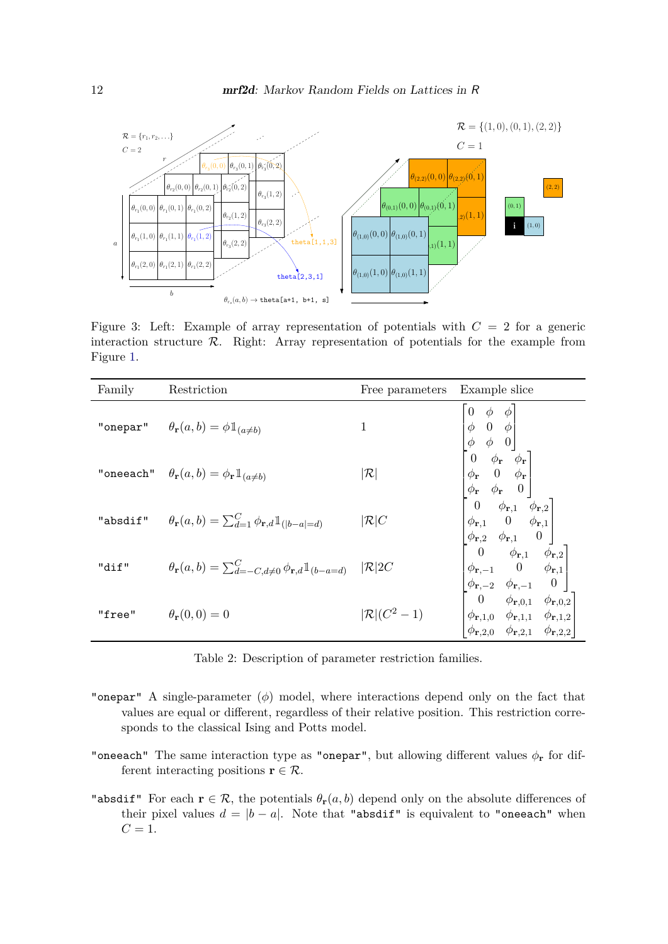

<span id="page-11-0"></span>Figure 3: Left: Example of array representation of potentials with  $C = 2$  for a generic interaction structure  $R$ . Right: Array representation of potentials for the example from Figure [1.](#page-4-0)

| Family   | Restriction                                                                                   | Free parameters Example slice |                                                                                                                                                                                                                                                                                                                                                                                                                                                        |
|----------|-----------------------------------------------------------------------------------------------|-------------------------------|--------------------------------------------------------------------------------------------------------------------------------------------------------------------------------------------------------------------------------------------------------------------------------------------------------------------------------------------------------------------------------------------------------------------------------------------------------|
|          | "onepar" $\theta_{\bf r}(a,b) = \phi \mathbbm{1}_{(a \neq b)}$                                | $\mathbf{1}$                  | $\begin{bmatrix} 0 & \phi & \phi \\ \phi & 0 & \phi \\ \phi & \phi & 0 \end{bmatrix} \ \begin{bmatrix} 0 & \phi_{\mathbf{r}} & \phi_{\mathbf{r}} \\ \phi_{\mathbf{r}} & 0 & \phi_{\mathbf{r}} \\ \phi_{\mathbf{r}} & 0 & \phi_{\mathbf{r}} \\ \phi_{\mathbf{r}} & \phi_{\mathbf{r}} & 0 \end{bmatrix} \ \begin{bmatrix} 0 & \phi_{\mathbf{r}}, 1 & \phi_{\mathbf{r}, 2} \\ 0 & \phi_{\mathbf{r}, 1} & 0 & \phi_{\mathbf{r}, 1} \\ \phi_{\mathbf{r}, 2$ |
|          | "oneeach" $\theta_{\mathbf{r}}(a,b) = \phi_{\mathbf{r}} \mathbb{1}_{(a \neq b)}$              | $ \mathcal{R} $               |                                                                                                                                                                                                                                                                                                                                                                                                                                                        |
| "absdif" | $\theta_{\mathbf{r}}(a,b) = \sum_{d=1}^{C} \phi_{\mathbf{r},d} \mathbb{1}_{( b-a =d)}$        | $ \mathcal{R} C$              |                                                                                                                                                                                                                                                                                                                                                                                                                                                        |
| "dif"    | $\theta_{\mathbf{r}}(a,b) = \sum_{d=-C,d\neq 0}^{C} \phi_{\mathbf{r},d} \mathbb{1}_{(b-a=d)}$ | $\mathcal{R}$  2C             |                                                                                                                                                                                                                                                                                                                                                                                                                                                        |
| "free"   | $\theta_{\mathbf{r}}(0,0)=0$                                                                  | $ \mathcal{R} (C^2-1)$        |                                                                                                                                                                                                                                                                                                                                                                                                                                                        |

<span id="page-11-1"></span>Table 2: Description of parameter restriction families.

- "onepar" A single-parameter (*ϕ*) model, where interactions depend only on the fact that values are equal or different, regardless of their relative position. This restriction corresponds to the classical Ising and Potts model.
- "oneeach" The same interaction type as "onepar", but allowing different values *ϕ***<sup>r</sup>** for different interacting positions **r**  $\in \mathcal{R}$ .
- "absdif" For each  $\mathbf{r} \in \mathcal{R}$ , the potentials  $\theta_{\mathbf{r}}(a, b)$  depend only on the absolute differences of their pixel values  $d = |b - a|$ . Note that "absdif" is equivalent to "oneeach" when  $C = 1$ .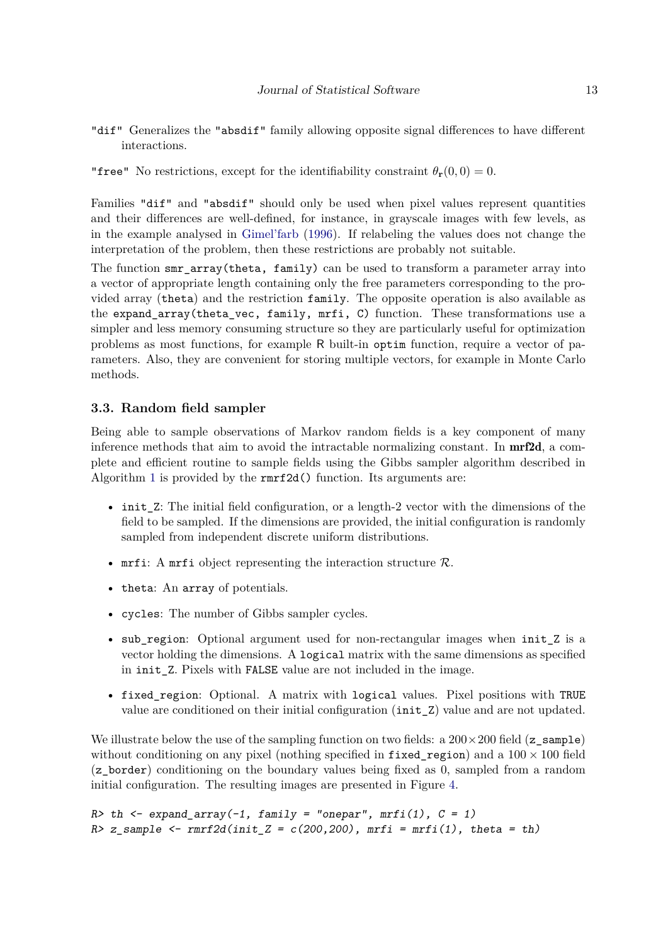- "dif" Generalizes the "absdif" family allowing opposite signal differences to have different interactions.
- "free" No restrictions, except for the identifiability constraint  $\theta_r(0,0) = 0$ .

Families "dif" and "absdif" should only be used when pixel values represent quantities and their differences are well-defined, for instance, in grayscale images with few levels, as in the example analysed in [Gimel'farb](#page-29-3) [\(1996\)](#page-29-3). If relabeling the values does not change the interpretation of the problem, then these restrictions are probably not suitable.

The function smr\_array(theta, family) can be used to transform a parameter array into a vector of appropriate length containing only the free parameters corresponding to the provided array (theta) and the restriction family. The opposite operation is also available as the expand\_array(theta\_vec, family, mrfi, C) function. These transformations use a simpler and less memory consuming structure so they are particularly useful for optimization problems as most functions, for example R built-in optim function, require a vector of parameters. Also, they are convenient for storing multiple vectors, for example in Monte Carlo methods.

## **3.3. Random field sampler**

Being able to sample observations of Markov random fields is a key component of many inference methods that aim to avoid the intractable normalizing constant. In  $\text{mrf2d}$ , a complete and efficient routine to sample fields using the Gibbs sampler algorithm described in Algorithm [1](#page-6-0) is provided by the rmrf2d() function. Its arguments are:

- init\_Z: The initial field configuration, or a length-2 vector with the dimensions of the field to be sampled. If the dimensions are provided, the initial configuration is randomly sampled from independent discrete uniform distributions.
- mrfi: A mrfi object representing the interaction structure  $\mathcal{R}$ .
- theta: An array of potentials.
- cycles: The number of Gibbs sampler cycles.
- sub\_region: Optional argument used for non-rectangular images when init\_Z is a vector holding the dimensions. A logical matrix with the same dimensions as specified in init Z. Pixels with FALSE value are not included in the image.
- fixed\_region: Optional. A matrix with logical values. Pixel positions with TRUE value are conditioned on their initial configuration (init\_Z) value and are not updated.

We illustrate below the use of the sampling function on two fields: a  $200 \times 200$  field (z\_sample) without conditioning on any pixel (nothing specified in fixed region) and a  $100 \times 100$  field (z\_border) conditioning on the boundary values being fixed as 0, sampled from a random initial configuration. The resulting images are presented in Figure [4.](#page-13-0)

```
R> th <- expand_array(-1, family = "onepar", mrfi(1), C = 1)
R> z_sample <- rrrf2d(int_Z = c(200, 200), mrfi = mrfi(1), theta = th)
```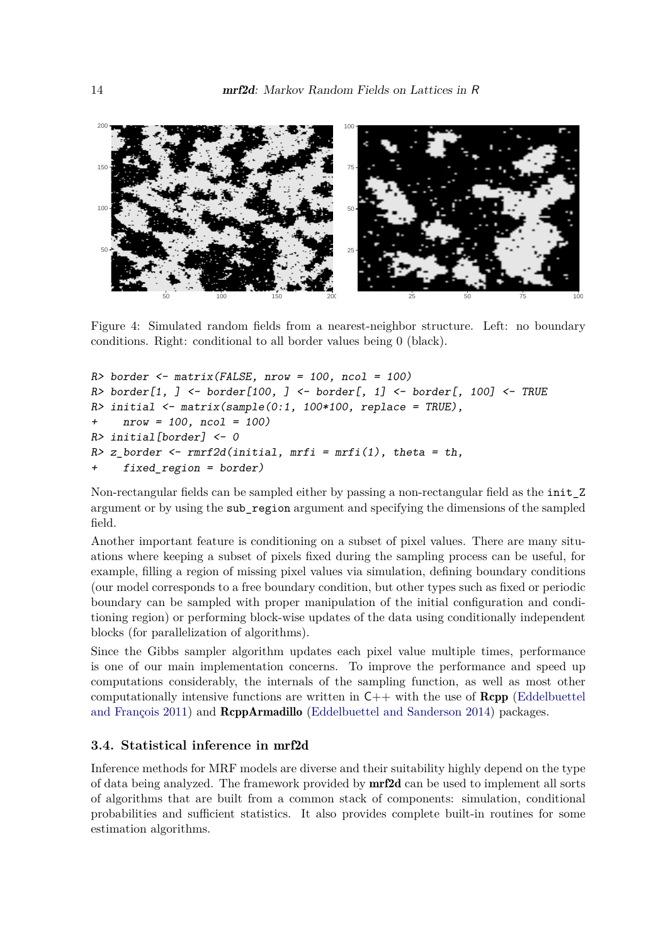

<span id="page-13-0"></span>Figure 4: Simulated random fields from a nearest-neighbor structure. Left: no boundary conditions. Right: conditional to all border values being 0 (black).

```
R> border <- matrix(FALSE, nrow = 100, ncol = 100)
R> border[1, ] <- border[100, ] <- border[, 1] <- border[, 100] <- TRUE
R> initial <- matrix(sample(0:1, 100*100, replace = TRUE),
+ nrow = 100, ncol = 100)
R> initial[border] <- 0
R > z_b and \leq \leq \leq \leq \leq \leq \leq \leq \leq \leq \leq \leq \leq \leq \leq \leq \leq \leq \leq \leq \leq \leq \leq \leq \leq \leq \leq \leq \leq \leq \leq \leq \leq \leq \leq 
+ fixed_region = border)
```
Non-rectangular fields can be sampled either by passing a non-rectangular field as the init\_Z argument or by using the sub\_region argument and specifying the dimensions of the sampled field.

Another important feature is conditioning on a subset of pixel values. There are many situations where keeping a subset of pixels fixed during the sampling process can be useful, for example, filling a region of missing pixel values via simulation, defining boundary conditions (our model corresponds to a free boundary condition, but other types such as fixed or periodic boundary can be sampled with proper manipulation of the initial configuration and conditioning region) or performing block-wise updates of the data using conditionally independent blocks (for parallelization of algorithms).

Since the Gibbs sampler algorithm updates each pixel value multiple times, performance is one of our main implementation concerns. To improve the performance and speed up computations considerably, the internals of the sampling function, as well as most other computationally intensive functions are written in  $C++$  with the use of **Rcpp** [\(Eddelbuettel](#page-28-11) [and François](#page-28-11) [2011\)](#page-28-11) and RcppArmadillo [\(Eddelbuettel and Sanderson](#page-28-12) [2014\)](#page-28-12) packages.

## <span id="page-13-1"></span>**3.4. Statistical inference in** mrf2d

Inference methods for MRF models are diverse and their suitability highly depend on the type of data being analyzed. The framework provided by mrf2d can be used to implement all sorts of algorithms that are built from a common stack of components: simulation, conditional probabilities and sufficient statistics. It also provides complete built-in routines for some estimation algorithms.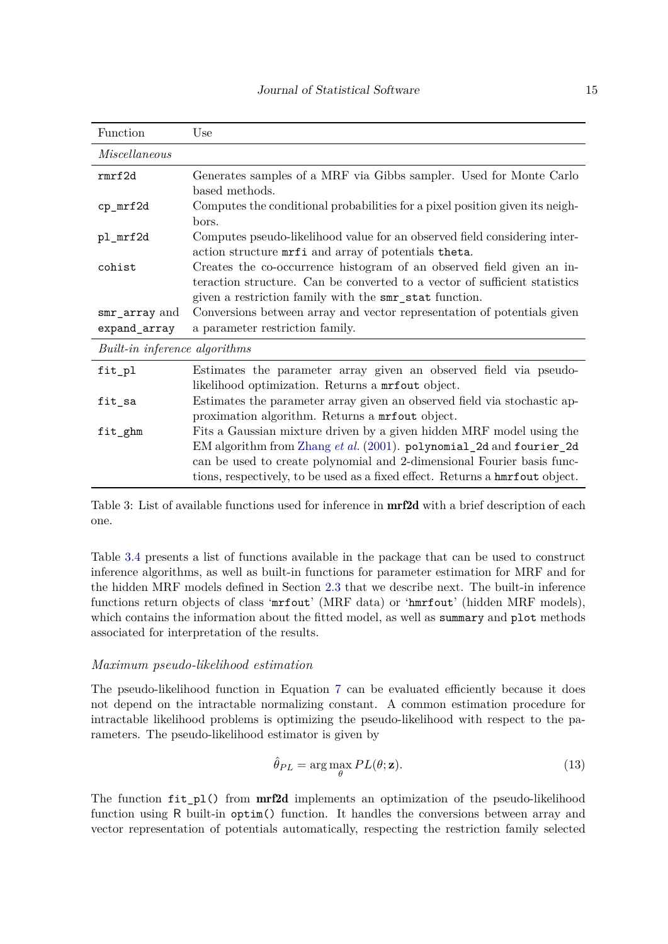| Function                      | Use                                                                                                                                                                                                                                                                                                    |  |  |  |
|-------------------------------|--------------------------------------------------------------------------------------------------------------------------------------------------------------------------------------------------------------------------------------------------------------------------------------------------------|--|--|--|
| Miscellaneous                 |                                                                                                                                                                                                                                                                                                        |  |  |  |
| rmrf2d                        | Generates samples of a MRF via Gibbs sampler. Used for Monte Carlo<br>based methods.                                                                                                                                                                                                                   |  |  |  |
| cp_mrf2d                      | Computes the conditional probabilities for a pixel position given its neigh-<br>bors.                                                                                                                                                                                                                  |  |  |  |
| pl_mrf2d                      | Computes pseudo-likelihood value for an observed field considering inter-<br>action structure mrfi and array of potentials theta.                                                                                                                                                                      |  |  |  |
| cohist                        | Creates the co-occurrence histogram of an observed field given an in-<br>teraction structure. Can be converted to a vector of sufficient statistics<br>given a restriction family with the smr_stat function.                                                                                          |  |  |  |
| smr_array and<br>expand_array | Conversions between array and vector representation of potentials given<br>a parameter restriction family.                                                                                                                                                                                             |  |  |  |
| Built-in inference algorithms |                                                                                                                                                                                                                                                                                                        |  |  |  |
| fit_pl                        | Estimates the parameter array given an observed field via pseudo-<br>likelihood optimization. Returns a mrfout object.                                                                                                                                                                                 |  |  |  |
| fit_sa                        | Estimates the parameter array given an observed field via stochastic ap-<br>proximation algorithm. Returns a mrfout object.                                                                                                                                                                            |  |  |  |
| fit_ghm                       | Fits a Gaussian mixture driven by a given hidden MRF model using the<br>EM algorithm from Zhang et al. (2001). polynomial_2d and fourier_2d<br>can be used to create polynomial and 2-dimensional Fourier basis func-<br>tions, respectively, to be used as a fixed effect. Returns a hunriout object. |  |  |  |

Table 3: List of available functions used for inference in **mrf2d** with a brief description of each one.

Table [3.4](#page-13-1) presents a list of functions available in the package that can be used to construct inference algorithms, as well as built-in functions for parameter estimation for MRF and for the hidden MRF models defined in Section [2.3](#page-7-0) that we describe next. The built-in inference functions return objects of class 'mrfout' (MRF data) or 'hmrfout' (hidden MRF models), which contains the information about the fitted model, as well as summary and plot methods associated for interpretation of the results.

#### *Maximum pseudo-likelihood estimation*

The pseudo-likelihood function in Equation [7](#page-5-1) can be evaluated efficiently because it does not depend on the intractable normalizing constant. A common estimation procedure for intractable likelihood problems is optimizing the pseudo-likelihood with respect to the parameters. The pseudo-likelihood estimator is given by

$$
\hat{\theta}_{PL} = \arg\max_{\theta} PL(\theta; \mathbf{z}).
$$
\n(13)

The function  $fit$  pl() from  $mr2d$  implements an optimization of the pseudo-likelihood function using R built-in optim() function. It handles the conversions between array and vector representation of potentials automatically, respecting the restriction family selected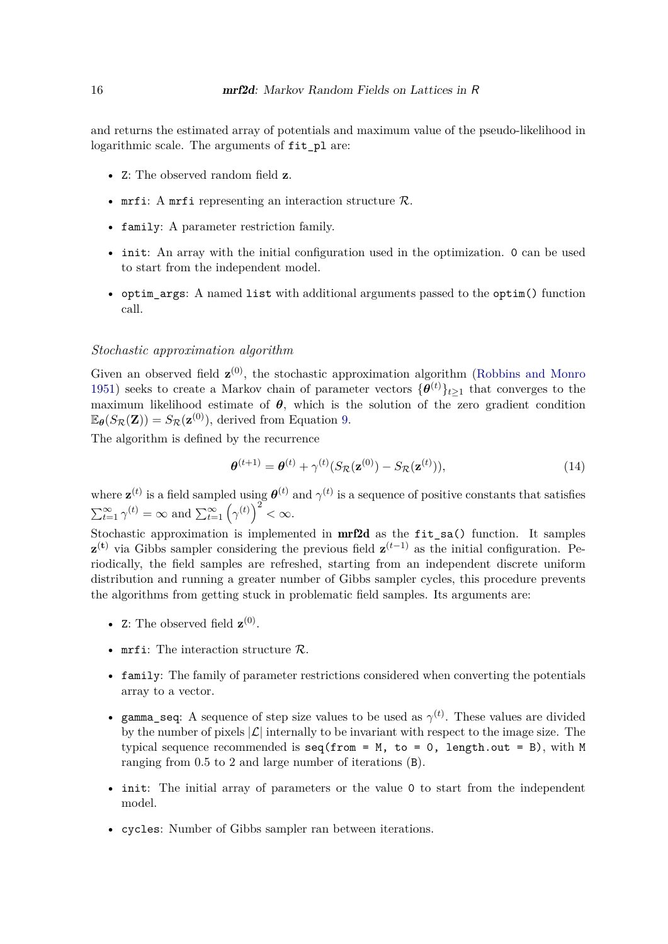and returns the estimated array of potentials and maximum value of the pseudo-likelihood in logarithmic scale. The arguments of fit\_pl are:

- Z: The observed random field **z**.
- mrfi: A mrfi representing an interaction structure  $\mathcal{R}$ .
- family: A parameter restriction family.
- init: An array with the initial configuration used in the optimization. 0 can be used to start from the independent model.
- optim\_args: A named list with additional arguments passed to the optim() function call.

## *Stochastic approximation algorithm*

Given an observed field  $\mathbf{z}^{(0)}$ , the stochastic approximation algorithm [\(Robbins and Monro](#page-30-12) [1951\)](#page-30-12) seeks to create a Markov chain of parameter vectors  ${\{\theta^{(t)}\}}_{t\geq1}$  that converges to the maximum likelihood estimate of  $\theta$ , which is the solution of the zero gradient condition  $\mathbb{E}_{\theta}(S_{\mathcal{R}}(\mathbf{Z})) = S_{\mathcal{R}}(\mathbf{z}^{(0)}),$  derived from Equation [9.](#page-7-1)

The algorithm is defined by the recurrence

$$
\boldsymbol{\theta}^{(t+1)} = \boldsymbol{\theta}^{(t)} + \gamma^{(t)}(S_{\mathcal{R}}(\mathbf{z}^{(0)}) - S_{\mathcal{R}}(\mathbf{z}^{(t)})),
$$
\n(14)

where  $\mathbf{z}^{(t)}$  is a field sampled using  $\boldsymbol{\theta}^{(t)}$  and  $\gamma^{(t)}$  is a sequence of positive constants that satisfies  $\sum_{t=1}^{\infty} \gamma^{(t)} = \infty$  and  $\sum_{t=1}^{\infty} (\gamma^{(t)})^2 < \infty$ .

Stochastic approximation is implemented in mrf2d as the fit\_sa() function. It samples **z**<sup>(**t**)</sup> via Gibbs sampler considering the previous field **z**<sup>(*t*−1)</sup> as the initial configuration. Periodically, the field samples are refreshed, starting from an independent discrete uniform distribution and running a greater number of Gibbs sampler cycles, this procedure prevents the algorithms from getting stuck in problematic field samples. Its arguments are:

- Z: The observed field  $\mathbf{z}^{(0)}$ .
- mrfi: The interaction structure  $\mathcal{R}$ .
- family: The family of parameter restrictions considered when converting the potentials array to a vector.
- gamma\_seq: A sequence of step size values to be used as  $\gamma^{(t)}$ . These values are divided by the number of pixels  $|\mathcal{L}|$  internally to be invariant with respect to the image size. The typical sequence recommended is seq(from = M, to = 0, length.out = B), with M ranging from 0*.*5 to 2 and large number of iterations (B).
- init: The initial array of parameters or the value 0 to start from the independent model.
- cycles: Number of Gibbs sampler ran between iterations.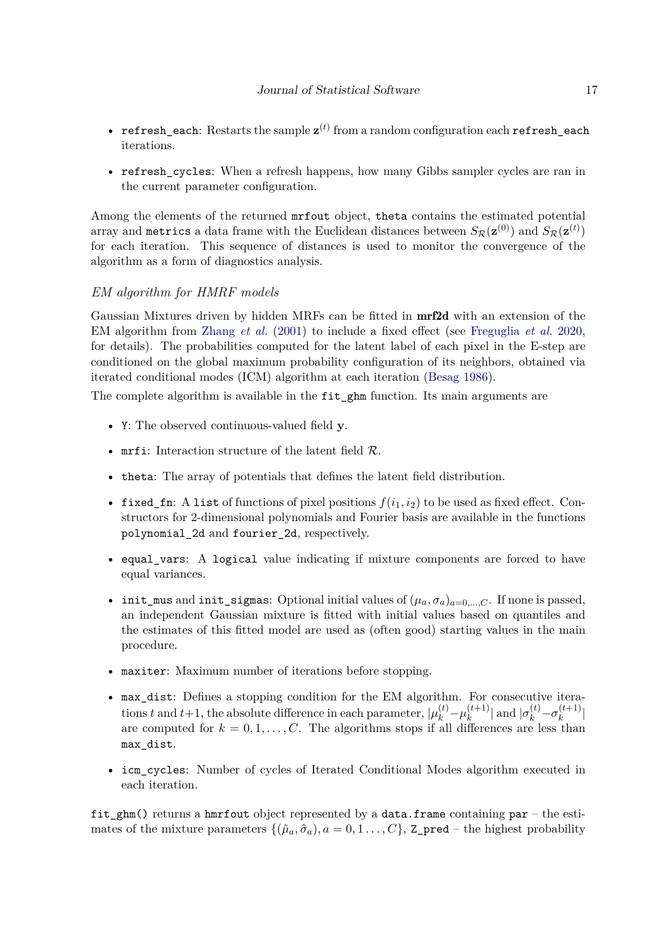- refresh\_each: Restarts the sample  $z^{(t)}$  from a random configuration each refresh\_each iterations.
- refresh\_cycles: When a refresh happens, how many Gibbs sampler cycles are ran in the current parameter configuration.

Among the elements of the returned mrfout object, theta contains the estimated potential array and metrics a data frame with the Euclidean distances between  $S_{\cal R}({\bf z}^{(0)})$  and  $S_{\cal R}({\bf z}^{(t)})$ for each iteration. This sequence of distances is used to monitor the convergence of the algorithm as a form of diagnostics analysis.

## *EM algorithm for HMRF models*

Gaussian Mixtures driven by hidden MRFs can be fitted in mrf2d with an extension of the EM algorithm from [Zhang](#page-31-0) *et al.* [\(2001\)](#page-31-0) to include a fixed effect (see [Freguglia](#page-29-5) *et al.* [2020,](#page-29-5) for details). The probabilities computed for the latent label of each pixel in the E-step are conditioned on the global maximum probability configuration of its neighbors, obtained via iterated conditional modes (ICM) algorithm at each iteration [\(Besag](#page-28-13) [1986\)](#page-28-13).

The complete algorithm is available in the fit\_ghm function. Its main arguments are

- Y: The observed continuous-valued field **y**.
- mrfi: Interaction structure of the latent field  $\mathcal{R}_a$ .
- theta: The array of potentials that defines the latent field distribution.
- fixed\_fn: A list of functions of pixel positions  $f(i_1, i_2)$  to be used as fixed effect. Constructors for 2-dimensional polynomials and Fourier basis are available in the functions polynomial\_2d and fourier\_2d, respectively.
- equal vars: A logical value indicating if mixture components are forced to have equal variances.
- init\_mus and init\_sigmas: Optional initial values of  $(\mu_a, \sigma_a)_{a=0,\ldots,C}$ . If none is passed, an independent Gaussian mixture is fitted with initial values based on quantiles and the estimates of this fitted model are used as (often good) starting values in the main procedure.
- maxiter: Maximum number of iterations before stopping.
- max\_dist: Defines a stopping condition for the EM algorithm. For consecutive iterations *t* and *t*+1, the absolute difference in each parameter,  $|\mu_k^{(t)} - \mu_k^{(t+1)}|$  $|\kappa_k^{(t+1)}|$  and  $|\sigma_k^{(t)} - \sigma_k^{(t+1)}|$  $\binom{l+1}{k}$ are computed for  $k = 0, 1, \ldots, C$ . The algorithms stops if all differences are less than max\_dist.
- icm\_cycles: Number of cycles of Iterated Conditional Modes algorithm executed in each iteration.

fit  $ghm()$  returns a hmrfout object represented by a data.frame containing par – the estimates of the mixture parameters  $\{(\hat{\mu}_a, \hat{\sigma}_a), a = 0, 1, \ldots, C\}$ , Z\_pred – the highest probability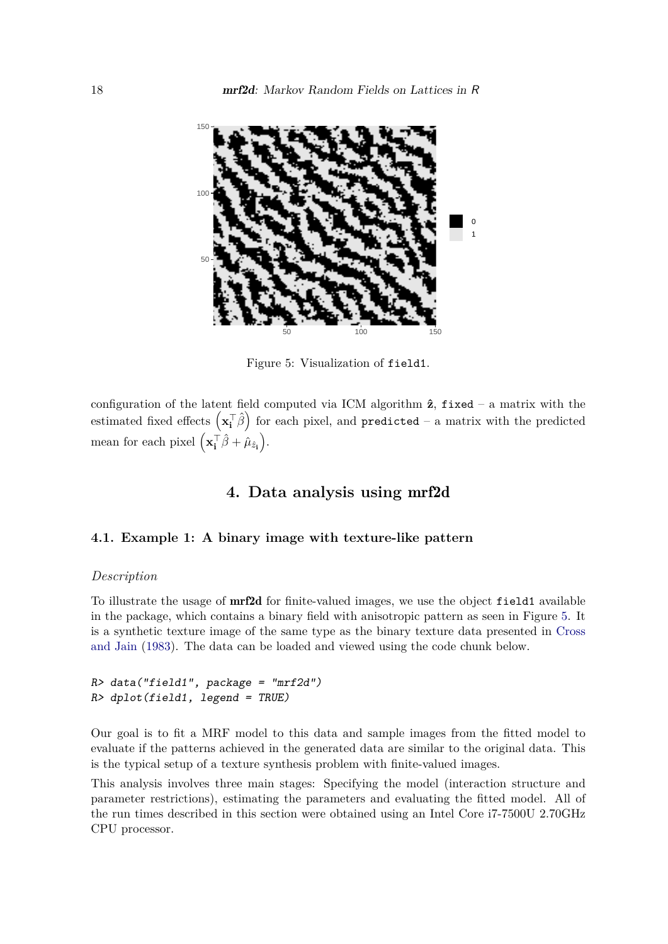

<span id="page-17-1"></span>Figure 5: Visualization of field1.

configuration of the latent field computed via ICM algorithm  $\hat{z}$ , fixed – a matrix with the estimated fixed effects  $\left(\mathbf{x}_i^{\top}\hat{\boldsymbol{\beta}}\right)$  for each pixel, and  $\texttt{predicted}$  – a matrix with the predicted mean for each pixel  $(\mathbf{x_i^T}\hat{\beta} + \hat{\mu}_{\hat{z_i}})$ .

## **4. Data analysis using** mrf2d

## <span id="page-17-0"></span>**4.1. Example 1: A binary image with texture-like pattern**

#### *Description*

To illustrate the usage of mrf2d for finite-valued images, we use the object field1 available in the package, which contains a binary field with anisotropic pattern as seen in Figure [5.](#page-17-1) It is a synthetic texture image of the same type as the binary texture data presented in [Cross](#page-28-0) [and Jain](#page-28-0) [\(1983\)](#page-28-0). The data can be loaded and viewed using the code chunk below.

## $R$ > data("field1", package = "mrf2d") R> dplot(field1, legend = TRUE)

Our goal is to fit a MRF model to this data and sample images from the fitted model to evaluate if the patterns achieved in the generated data are similar to the original data. This is the typical setup of a texture synthesis problem with finite-valued images.

This analysis involves three main stages: Specifying the model (interaction structure and parameter restrictions), estimating the parameters and evaluating the fitted model. All of the run times described in this section were obtained using an Intel Core i7-7500U 2.70GHz CPU processor.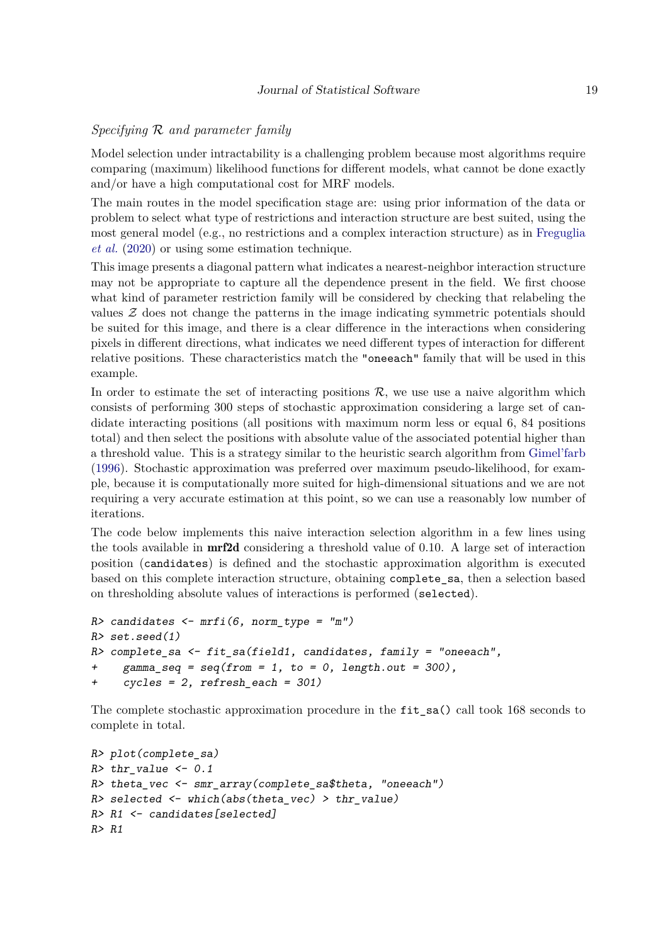## *Specifying* R *and parameter family*

Model selection under intractability is a challenging problem because most algorithms require comparing (maximum) likelihood functions for different models, what cannot be done exactly and/or have a high computational cost for MRF models.

The main routes in the model specification stage are: using prior information of the data or problem to select what type of restrictions and interaction structure are best suited, using the most general model (e.g., no restrictions and a complex interaction structure) as in [Freguglia](#page-29-5) *[et al.](#page-29-5)* [\(2020\)](#page-29-5) or using some estimation technique.

This image presents a diagonal pattern what indicates a nearest-neighbor interaction structure may not be appropriate to capture all the dependence present in the field. We first choose what kind of parameter restriction family will be considered by checking that relabeling the values Z does not change the patterns in the image indicating symmetric potentials should be suited for this image, and there is a clear difference in the interactions when considering pixels in different directions, what indicates we need different types of interaction for different relative positions. These characteristics match the "oneeach" family that will be used in this example.

In order to estimate the set of interacting positions  $R$ , we use use a naive algorithm which consists of performing 300 steps of stochastic approximation considering a large set of candidate interacting positions (all positions with maximum norm less or equal 6, 84 positions total) and then select the positions with absolute value of the associated potential higher than a threshold value. This is a strategy similar to the heuristic search algorithm from [Gimel'farb](#page-29-3) [\(1996\)](#page-29-3). Stochastic approximation was preferred over maximum pseudo-likelihood, for example, because it is computationally more suited for high-dimensional situations and we are not requiring a very accurate estimation at this point, so we can use a reasonably low number of iterations.

The code below implements this naive interaction selection algorithm in a few lines using the tools available in mrf2d considering a threshold value of 0*.*10. A large set of interaction position (candidates) is defined and the stochastic approximation algorithm is executed based on this complete interaction structure, obtaining complete\_sa, then a selection based on thresholding absolute values of interactions is performed (selected).

```
R> candidates <- mrfi(6, norm_type = "m")R> set.seed(1)
R> complete_sa <- fit_sa(field1, candidates, family = "oneeach",
+ gamma_seq = seq(from = 1, to = 0, length.out = 300),
+ cycles = 2, refresh each = 301)
```
The complete stochastic approximation procedure in the fit\_sa() call took 168 seconds to complete in total.

```
R> plot(complete_sa)
R> thr_value <- 0.1
R theta_vec \leq smr_array(complete_sa$theta, "oneeach")
R> selected \leq which(abs(theta_vec) > thr_value)
R> R1 <- candidates[selected]
R> R1
```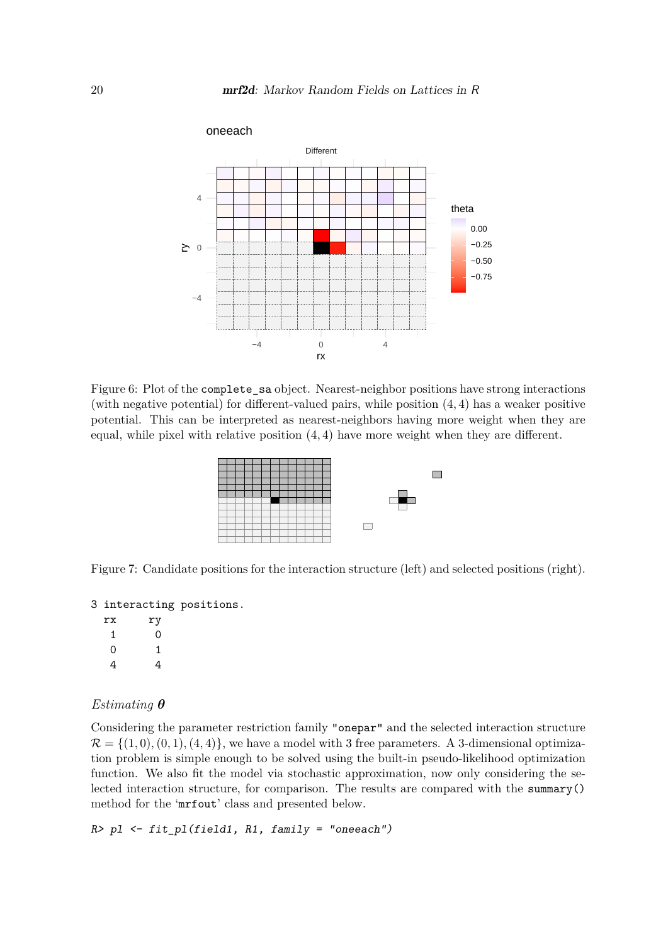

Figure 6: Plot of the complete sa object. Nearest-neighbor positions have strong interactions (with negative potential) for different-valued pairs, while position (4*,* 4) has a weaker positive potential. This can be interpreted as nearest-neighbors having more weight when they are equal, while pixel with relative position (4*,* 4) have more weight when they are different.



Figure 7: Candidate positions for the interaction structure (left) and selected positions (right).

```
3 interacting positions.
```

| rx | ry |
|----|----|
| 1  | 0  |
| 0  | 1  |
| 4  | 4  |

## *Estimating θ*

Considering the parameter restriction family "onepar" and the selected interaction structure  $\mathcal{R} = \{(1,0), (0,1), (4,4)\}\,$ , we have a model with 3 free parameters. A 3-dimensional optimization problem is simple enough to be solved using the built-in pseudo-likelihood optimization function. We also fit the model via stochastic approximation, now only considering the selected interaction structure, for comparison. The results are compared with the summary() method for the 'mrfout' class and presented below.

 $R > p1$  <- fit\_pl(field1, R1, family = "oneeach")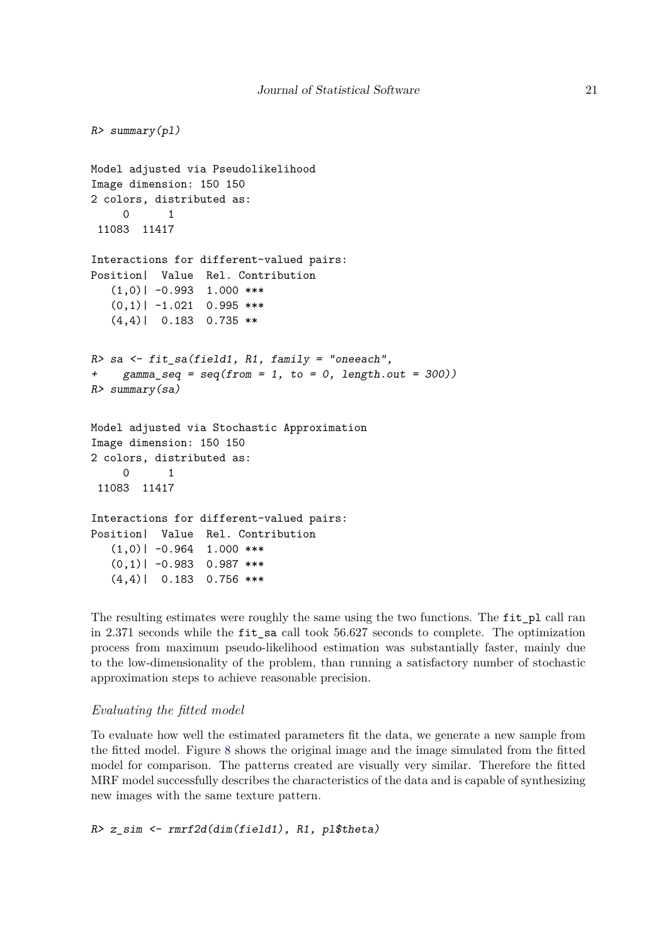```
R> summary(pl)
Model adjusted via Pseudolikelihood
Image dimension: 150 150
2 colors, distributed as:
     0 1
 11083 11417
Interactions for different-valued pairs:
Position| Value Rel. Contribution
   (1,0)| -0.993 1.000 ***
   (0,1)| -1.021 0.995 ***
   (4,4)| 0.183 0.735 **
R> sa \leq fit_sa(field1, R1, family = "oneeach",
+ gamma_seq = seq(from = 1, to = 0, length.out = 300))
R> summary(sa)
Model adjusted via Stochastic Approximation
Image dimension: 150 150
2 colors, distributed as:
     0 1
 11083 11417
Interactions for different-valued pairs:
Position| Value Rel. Contribution
   (1,0)| -0.964 1.000 ***
   (0,1)| -0.983 0.987 ***
   (4,4)| 0.183 0.756 ***
```
The resulting estimates were roughly the same using the two functions. The fit\_pl call ran in 2*.*371 seconds while the fit\_sa call took 56*.*627 seconds to complete. The optimization process from maximum pseudo-likelihood estimation was substantially faster, mainly due to the low-dimensionality of the problem, than running a satisfactory number of stochastic approximation steps to achieve reasonable precision.

## *Evaluating the fitted model*

To evaluate how well the estimated parameters fit the data, we generate a new sample from the fitted model. Figure [8](#page-21-0) shows the original image and the image simulated from the fitted model for comparison. The patterns created are visually very similar. Therefore the fitted MRF model successfully describes the characteristics of the data and is capable of synthesizing new images with the same texture pattern.

R> z\_sim <- rmrf2d(dim(field1), R1, pl\$theta)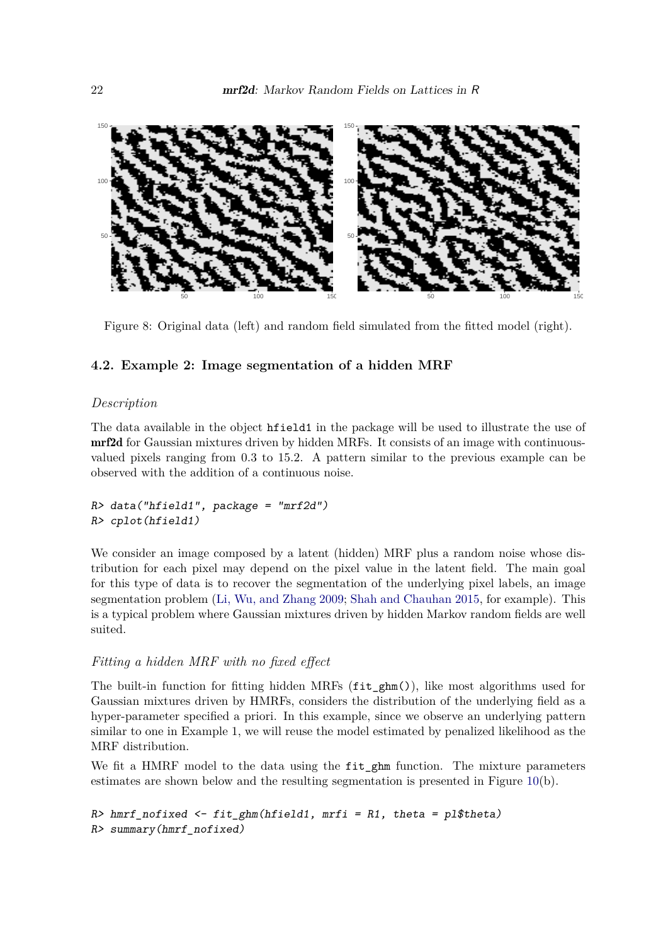

<span id="page-21-0"></span>Figure 8: Original data (left) and random field simulated from the fitted model (right).

## **4.2. Example 2: Image segmentation of a hidden MRF**

## *Description*

The data available in the object hfield1 in the package will be used to illustrate the use of mrf2d for Gaussian mixtures driven by hidden MRFs. It consists of an image with continuousvalued pixels ranging from 0*.*3 to 15*.*2. A pattern similar to the previous example can be observed with the addition of a continuous noise.

```
R> data("hfield1", package = "mrf2d")
R> cplot(hfield1)
```
We consider an image composed by a latent (hidden) MRF plus a random noise whose distribution for each pixel may depend on the pixel value in the latent field. The main goal for this type of data is to recover the segmentation of the underlying pixel labels, an image segmentation problem [\(Li, Wu, and Zhang](#page-30-13) [2009;](#page-30-13) [Shah and Chauhan](#page-30-14) [2015,](#page-30-14) for example). This is a typical problem where Gaussian mixtures driven by hidden Markov random fields are well suited.

## *Fitting a hidden MRF with no fixed effect*

The built-in function for fitting hidden MRFs (fit\_ghm()), like most algorithms used for Gaussian mixtures driven by HMRFs, considers the distribution of the underlying field as a hyper-parameter specified a priori. In this example, since we observe an underlying pattern similar to one in Example 1, we will reuse the model estimated by penalized likelihood as the MRF distribution.

We fit a HMRF model to the data using the fit\_ghm function. The mixture parameters estimates are shown below and the resulting segmentation is presented in Figure [10\(](#page-23-0)b).

```
R> hmrf_nofixed <- fit_ghm(hfield1, mrfi = R1, theta = pl$theta)
R> summary(hmrf_nofixed)
```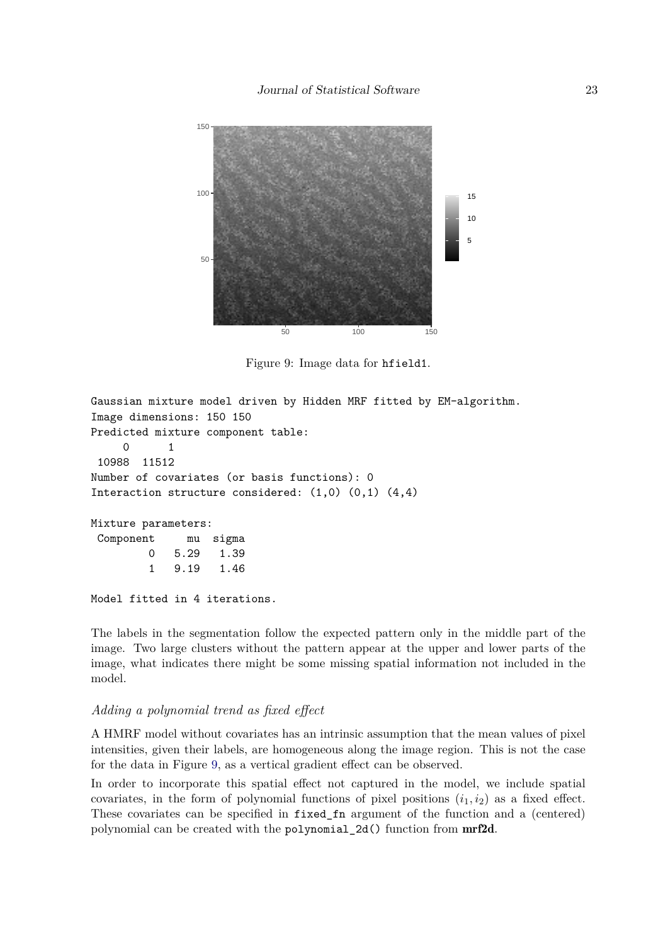

<span id="page-22-0"></span>Figure 9: Image data for hfield1.

```
Gaussian mixture model driven by Hidden MRF fitted by EM-algorithm.
Image dimensions: 150 150
Predicted mixture component table:
     0 1
 10988 11512
Number of covariates (or basis functions): 0
Interaction structure considered: (1,0) (0,1) (4,4)
Mixture parameters:
 Component mu sigma
         0 5.29 1.39
         1 9.19 1.46
Model fitted in 4 iterations.
```
The labels in the segmentation follow the expected pattern only in the middle part of the image. Two large clusters without the pattern appear at the upper and lower parts of the image, what indicates there might be some missing spatial information not included in the model.

#### *Adding a polynomial trend as fixed effect*

A HMRF model without covariates has an intrinsic assumption that the mean values of pixel intensities, given their labels, are homogeneous along the image region. This is not the case for the data in Figure [9,](#page-22-0) as a vertical gradient effect can be observed.

In order to incorporate this spatial effect not captured in the model, we include spatial covariates, in the form of polynomial functions of pixel positions  $(i_1, i_2)$  as a fixed effect. These covariates can be specified in fixed\_fn argument of the function and a (centered) polynomial can be created with the polynomial\_2d() function from mrf2d.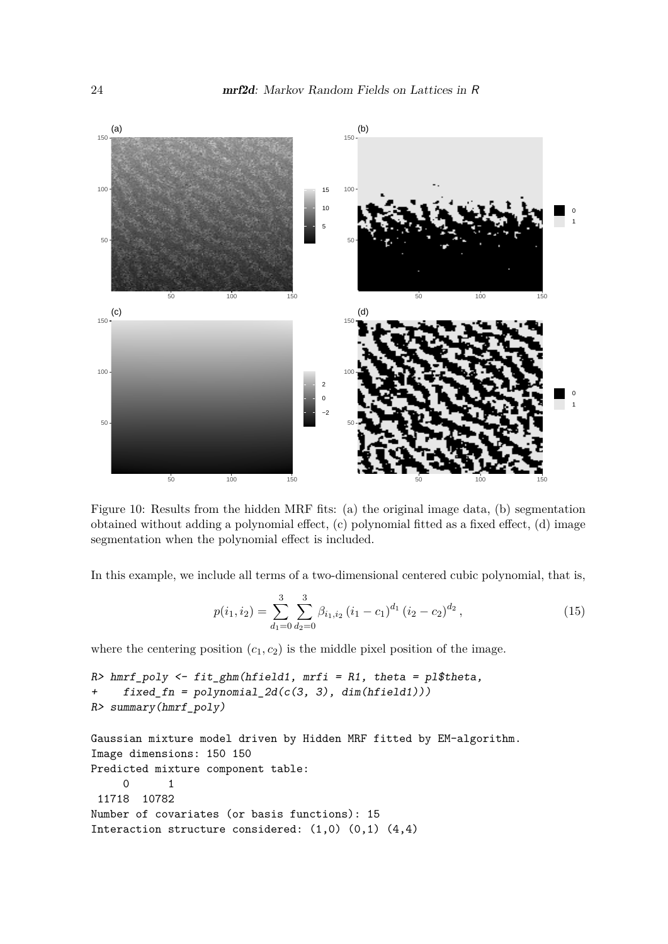

<span id="page-23-0"></span>Figure 10: Results from the hidden MRF fits: (a) the original image data, (b) segmentation obtained without adding a polynomial effect, (c) polynomial fitted as a fixed effect, (d) image segmentation when the polynomial effect is included.

In this example, we include all terms of a two-dimensional centered cubic polynomial, that is,

$$
p(i_1, i_2) = \sum_{d_1=0}^{3} \sum_{d_2=0}^{3} \beta_{i_1, i_2} (i_1 - c_1)^{d_1} (i_2 - c_2)^{d_2}, \qquad (15)
$$

where the centering position  $(c_1, c_2)$  is the middle pixel position of the image.

```
R> hmrf_poly <- fit_ghm(hfield1, mrfi = R1, theta = pl$theta,
+ fixed_fn = polynomial_2d(c(3, 3), dim(hfield1)))
R> summary(hmrf_poly)
```

```
Gaussian mixture model driven by Hidden MRF fitted by EM-algorithm.
Image dimensions: 150 150
Predicted mixture component table:
     0 1
 11718 10782
Number of covariates (or basis functions): 15
Interaction structure considered: (1,0) (0,1) (4,4)
```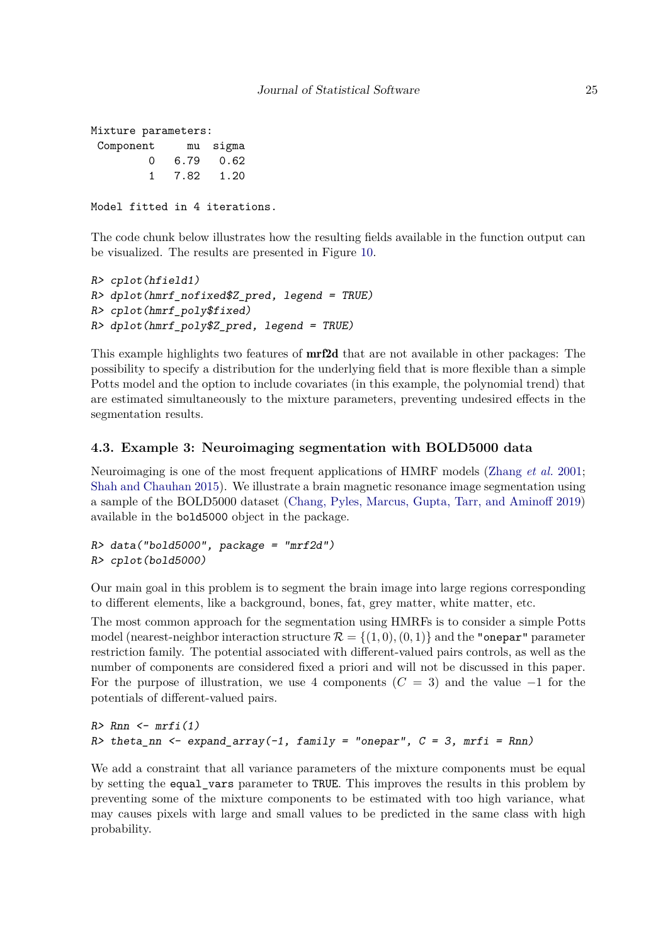```
Mixture parameters:
 Component mu sigma
        0 6.79 0.62
        1 7.82 1.20
```

```
Model fitted in 4 iterations.
```
The code chunk below illustrates how the resulting fields available in the function output can be visualized. The results are presented in Figure [10.](#page-23-0)

```
R> cplot(hfield1)
R> dplot(hmrf_nofixed$Z_pred, legend = TRUE)
R> cplot(hmrf_poly$fixed)
R> dplot(hmrf_poly$Z_pred, legend = TRUE)
```
This example highlights two features of mrf2d that are not available in other packages: The possibility to specify a distribution for the underlying field that is more flexible than a simple Potts model and the option to include covariates (in this example, the polynomial trend) that are estimated simultaneously to the mixture parameters, preventing undesired effects in the segmentation results.

## **4.3. Example 3: Neuroimaging segmentation with BOLD5000 data**

Neuroimaging is one of the most frequent applications of HMRF models [\(Zhang](#page-31-0) *et al.* [2001;](#page-31-0) [Shah and Chauhan](#page-30-14) [2015\)](#page-30-14). We illustrate a brain magnetic resonance image segmentation using a sample of the BOLD5000 dataset [\(Chang, Pyles, Marcus, Gupta, Tarr, and Aminoff](#page-28-14) [2019\)](#page-28-14) available in the bold5000 object in the package.

```
R> data("bold5000", package = "mrf2d")
R> cplot(bold5000)
```
Our main goal in this problem is to segment the brain image into large regions corresponding to different elements, like a background, bones, fat, grey matter, white matter, etc.

The most common approach for the segmentation using HMRFs is to consider a simple Potts model (nearest-neighbor interaction structure  $\mathcal{R} = \{(1,0), (0,1)\}\$  and the "onepar" parameter restriction family. The potential associated with different-valued pairs controls, as well as the number of components are considered fixed a priori and will not be discussed in this paper. For the purpose of illustration, we use 4 components  $(C = 3)$  and the value  $-1$  for the potentials of different-valued pairs.

```
R> Rnn \leq mrfi(1)R> theta_nn <- expand_array(-1, family = "onepar", C = 3, mrfi = Rnn)
```
We add a constraint that all variance parameters of the mixture components must be equal by setting the equal\_vars parameter to TRUE. This improves the results in this problem by preventing some of the mixture components to be estimated with too high variance, what may causes pixels with large and small values to be predicted in the same class with high probability.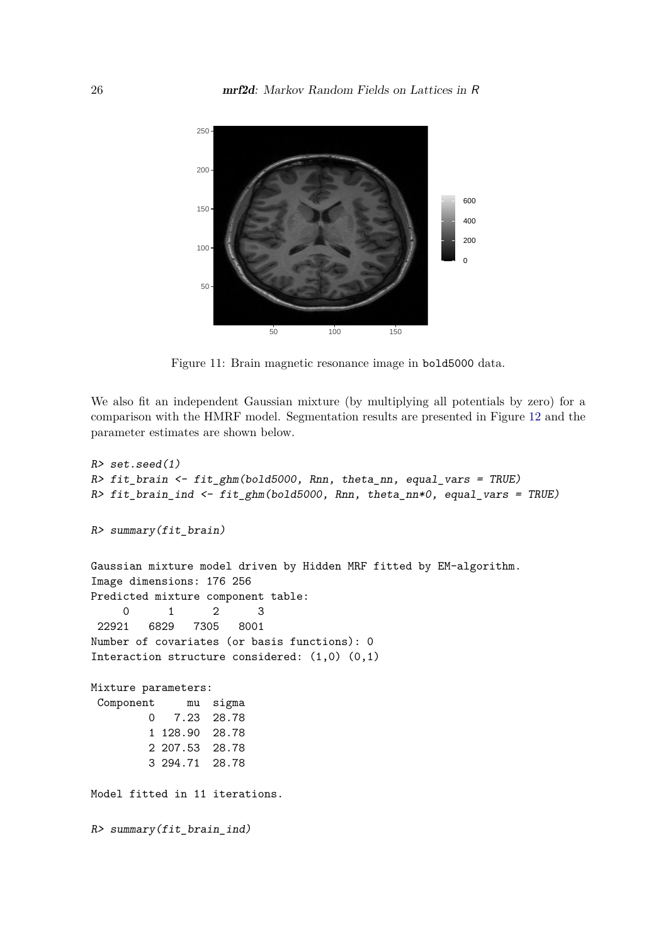

Figure 11: Brain magnetic resonance image in bold5000 data.

We also fit an independent Gaussian mixture (by multiplying all potentials by zero) for a comparison with the HMRF model. Segmentation results are presented in Figure [12](#page-26-1) and the parameter estimates are shown below.

```
R> set.seed(1)
R> fit_brain <- fit_ghm(bold5000, Rnn, theta_nn, equal_vars = TRUE)
R> fit_brain_ind <- fit_ghm(bold5000, Rnn, theta_nn*0, equal_vars = TRUE)
R> summary(fit_brain)
Gaussian mixture model driven by Hidden MRF fitted by EM-algorithm.
Image dimensions: 176 256
Predicted mixture component table:
     0 1 2 3
 22921 6829 7305 8001
Number of covariates (or basis functions): 0
Interaction structure considered: (1,0) (0,1)
Mixture parameters:
 Component mu sigma
        0 7.23 28.78
        1 128.90 28.78
        2 207.53 28.78
        3 294.71 28.78
Model fitted in 11 iterations.
R> summary(fit_brain_ind)
```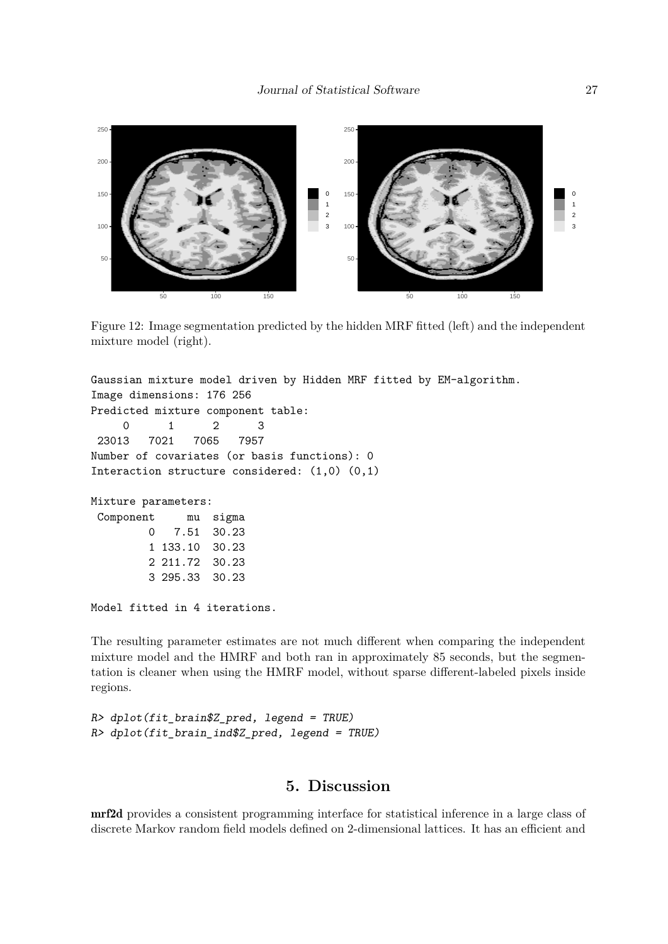

<span id="page-26-1"></span>Figure 12: Image segmentation predicted by the hidden MRF fitted (left) and the independent mixture model (right).

```
Gaussian mixture model driven by Hidden MRF fitted by EM-algorithm.
Image dimensions: 176 256
Predicted mixture component table:
     0 1 2 3
 23013 7021 7065 7957
Number of covariates (or basis functions): 0
Interaction structure considered: (1,0) (0,1)
Mixture parameters:
 Component mu sigma
        0 7.51 30.23
        1 133.10 30.23
        2 211.72 30.23
        3 295.33 30.23
Model fitted in 4 iterations.
```
The resulting parameter estimates are not much different when comparing the independent mixture model and the HMRF and both ran in approximately 85 seconds, but the segmentation is cleaner when using the HMRF model, without sparse different-labeled pixels inside regions.

```
R> dplot(fit brain$Z pred, legend = TRUE)
R> dplot(fit brain ind$Z pred, legend = TRUE)
```
## **5. Discussion**

<span id="page-26-0"></span>mrf2d provides a consistent programming interface for statistical inference in a large class of discrete Markov random field models defined on 2-dimensional lattices. It has an efficient and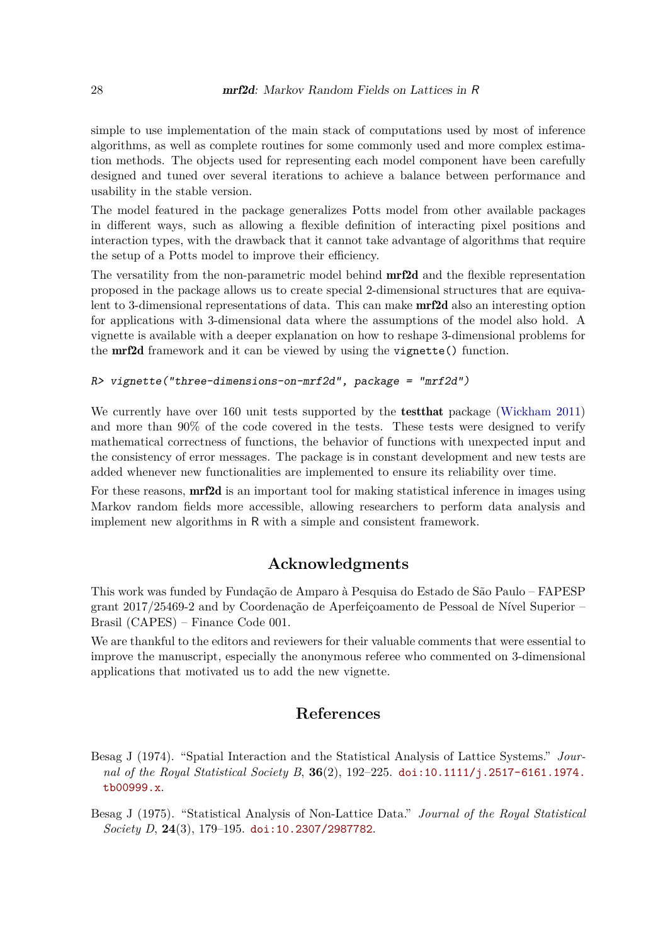simple to use implementation of the main stack of computations used by most of inference algorithms, as well as complete routines for some commonly used and more complex estimation methods. The objects used for representing each model component have been carefully designed and tuned over several iterations to achieve a balance between performance and usability in the stable version.

The model featured in the package generalizes Potts model from other available packages in different ways, such as allowing a flexible definition of interacting pixel positions and interaction types, with the drawback that it cannot take advantage of algorithms that require the setup of a Potts model to improve their efficiency.

The versatility from the non-parametric model behind **mrf2d** and the flexible representation proposed in the package allows us to create special 2-dimensional structures that are equivalent to 3-dimensional representations of data. This can make mrf2d also an interesting option for applications with 3-dimensional data where the assumptions of the model also hold. A vignette is available with a deeper explanation on how to reshape 3-dimensional problems for the mrf2d framework and it can be viewed by using the vignette() function.

## R> vignette("three-dimensions-on-mrf2d", package = "mrf2d")

We currently have over 160 unit tests supported by the **test that** package [\(Wickham](#page-31-7) [2011\)](#page-31-7) and more than 90% of the code covered in the tests. These tests were designed to verify mathematical correctness of functions, the behavior of functions with unexpected input and the consistency of error messages. The package is in constant development and new tests are added whenever new functionalities are implemented to ensure its reliability over time.

For these reasons, mrf2d is an important tool for making statistical inference in images using Markov random fields more accessible, allowing researchers to perform data analysis and implement new algorithms in R with a simple and consistent framework.

## **Acknowledgments**

This work was funded by Fundação de Amparo à Pesquisa do Estado de São Paulo – FAPESP grant 2017/25469-2 and by Coordenação de Aperfeiçoamento de Pessoal de Nível Superior – Brasil (CAPES) – Finance Code 001.

We are thankful to the editors and reviewers for their valuable comments that were essential to improve the manuscript, especially the anonymous referee who commented on 3-dimensional applications that motivated us to add the new vignette.

## **References**

<span id="page-27-0"></span>Besag J (1974). "Spatial Interaction and the Statistical Analysis of Lattice Systems." *Journal of the Royal Statistical Society B*, **36**(2), 192–225. [doi:10.1111/j.2517-6161.1974.](https://doi.org/10.1111/j.2517-6161.1974.tb00999.x) [tb00999.x](https://doi.org/10.1111/j.2517-6161.1974.tb00999.x).

<span id="page-27-1"></span>Besag J (1975). "Statistical Analysis of Non-Lattice Data." *Journal of the Royal Statistical Society D*, **24**(3), 179–195. [doi:10.2307/2987782](https://doi.org/10.2307/2987782).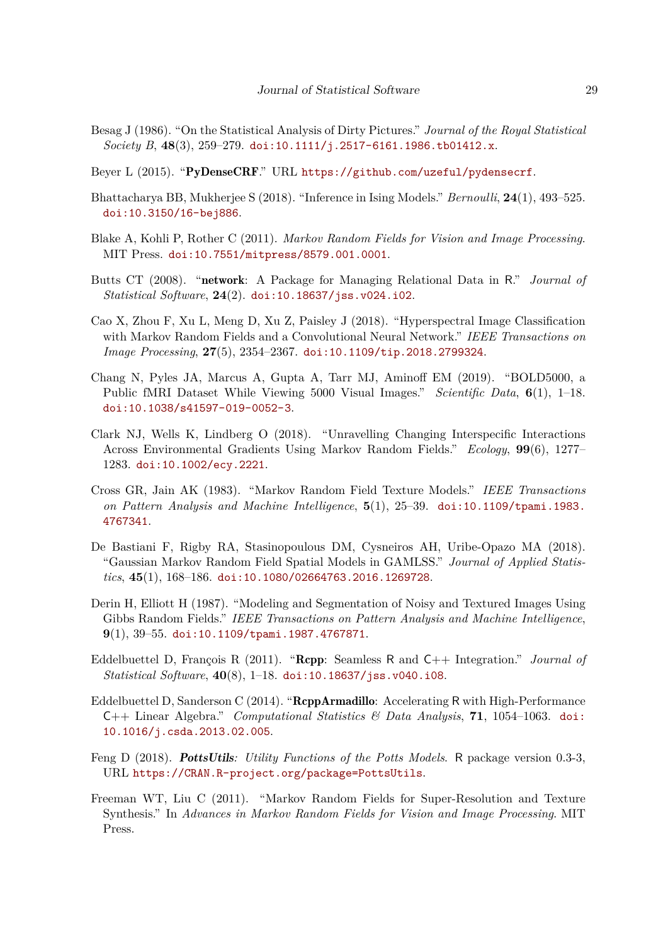- <span id="page-28-13"></span>Besag J (1986). "On the Statistical Analysis of Dirty Pictures." *Journal of the Royal Statistical Society B*, **48**(3), 259–279. [doi:10.1111/j.2517-6161.1986.tb01412.x](https://doi.org/10.1111/j.2517-6161.1986.tb01412.x).
- <span id="page-28-9"></span>Beyer L (2015). "PyDenseCRF." URL <https://github.com/uzeful/pydensecrf>.
- <span id="page-28-5"></span>Bhattacharya BB, Mukherjee S (2018). "Inference in Ising Models." *Bernoulli*, **24**(1), 493–525. [doi:10.3150/16-bej886](https://doi.org/10.3150/16-bej886).
- <span id="page-28-4"></span>Blake A, Kohli P, Rother C (2011). *Markov Random Fields for Vision and Image Processing*. MIT Press. [doi:10.7551/mitpress/8579.001.0001](https://doi.org/10.7551/mitpress/8579.001.0001).
- <span id="page-28-6"></span>Butts CT (2008). "network: A Package for Managing Relational Data in R." *Journal of Statistical Software*, **24**(2). [doi:10.18637/jss.v024.i02](https://doi.org/10.18637/jss.v024.i02).
- <span id="page-28-1"></span>Cao X, Zhou F, Xu L, Meng D, Xu Z, Paisley J (2018). "Hyperspectral Image Classification with Markov Random Fields and a Convolutional Neural Network." *IEEE Transactions on Image Processing*, **27**(5), 2354–2367. [doi:10.1109/tip.2018.2799324](https://doi.org/10.1109/tip.2018.2799324).
- <span id="page-28-14"></span>Chang N, Pyles JA, Marcus A, Gupta A, Tarr MJ, Aminoff EM (2019). "BOLD5000, a Public fMRI Dataset While Viewing 5000 Visual Images." *Scientific Data*, **6**(1), 1–18. [doi:10.1038/s41597-019-0052-3](https://doi.org/10.1038/s41597-019-0052-3).
- <span id="page-28-7"></span>Clark NJ, Wells K, Lindberg O (2018). "Unravelling Changing Interspecific Interactions Across Environmental Gradients Using Markov Random Fields." *Ecology*, **99**(6), 1277– 1283. [doi:10.1002/ecy.2221](https://doi.org/10.1002/ecy.2221).
- <span id="page-28-0"></span>Cross GR, Jain AK (1983). "Markov Random Field Texture Models." *IEEE Transactions on Pattern Analysis and Machine Intelligence*, **5**(1), 25–39. [doi:10.1109/tpami.1983.](https://doi.org/10.1109/tpami.1983.4767341) [4767341](https://doi.org/10.1109/tpami.1983.4767341).
- <span id="page-28-8"></span>De Bastiani F, Rigby RA, Stasinopoulous DM, Cysneiros AH, Uribe-Opazo MA (2018). "Gaussian Markov Random Field Spatial Models in GAMLSS." *Journal of Applied Statistics*, **45**(1), 168–186. [doi:10.1080/02664763.2016.1269728](https://doi.org/10.1080/02664763.2016.1269728).
- <span id="page-28-3"></span>Derin H, Elliott H (1987). "Modeling and Segmentation of Noisy and Textured Images Using Gibbs Random Fields." *IEEE Transactions on Pattern Analysis and Machine Intelligence*, **9**(1), 39–55. [doi:10.1109/tpami.1987.4767871](https://doi.org/10.1109/tpami.1987.4767871).
- <span id="page-28-11"></span>Eddelbuettel D, François R (2011). "Rcpp: Seamless R and C++ Integration." *Journal of Statistical Software*, **40**(8), 1–18. [doi:10.18637/jss.v040.i08](https://doi.org/10.18637/jss.v040.i08).
- <span id="page-28-12"></span>Eddelbuettel D, Sanderson C (2014). "RcppArmadillo: Accelerating R with High-Performance C++ Linear Algebra." *Computational Statistics & Data Analysis*, **71**, 1054–1063. [doi:](https://doi.org/10.1016/j.csda.2013.02.005) [10.1016/j.csda.2013.02.005](https://doi.org/10.1016/j.csda.2013.02.005).
- <span id="page-28-10"></span>Feng D (2018). PottsUtils*: Utility Functions of the Potts Models*. R package version 0.3-3, URL <https://CRAN.R-project.org/package=PottsUtils>.
- <span id="page-28-2"></span>Freeman WT, Liu C (2011). "Markov Random Fields for Super-Resolution and Texture Synthesis." In *Advances in Markov Random Fields for Vision and Image Processing*. MIT Press.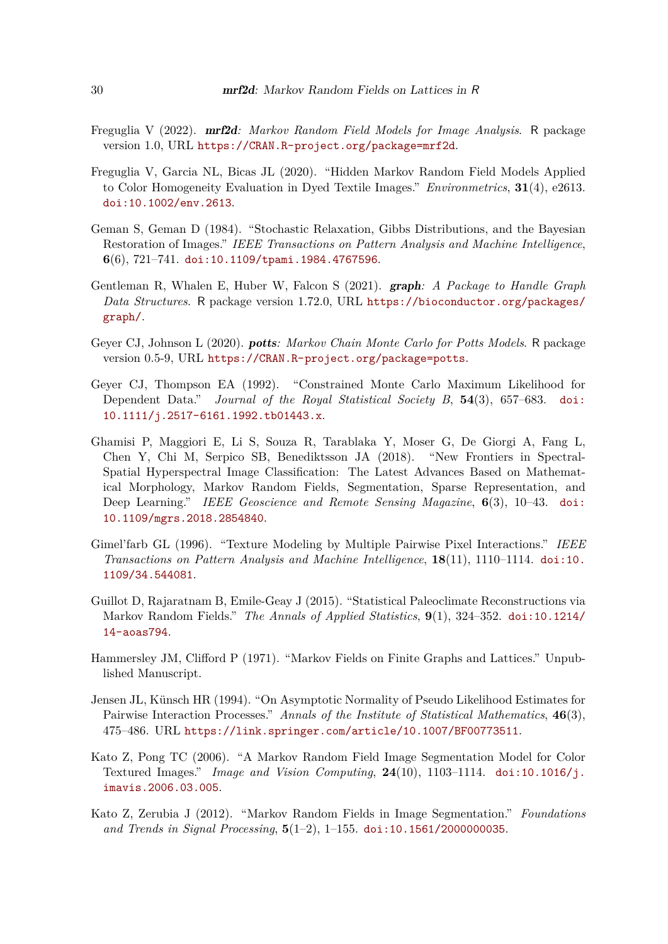- <span id="page-29-9"></span>Freguglia V (2022). mrf2d*: Markov Random Field Models for Image Analysis*. R package version 1.0, URL <https://CRAN.R-project.org/package=mrf2d>.
- <span id="page-29-5"></span>Freguglia V, Garcia NL, Bicas JL (2020). "Hidden Markov Random Field Models Applied to Color Homogeneity Evaluation in Dyed Textile Images." *Environmetrics*, **31**(4), e2613. [doi:10.1002/env.2613](https://doi.org/10.1002/env.2613).
- <span id="page-29-0"></span>Geman S, Geman D (1984). "Stochastic Relaxation, Gibbs Distributions, and the Bayesian Restoration of Images." *IEEE Transactions on Pattern Analysis and Machine Intelligence*, **6**(6), 721–741. [doi:10.1109/tpami.1984.4767596](https://doi.org/10.1109/tpami.1984.4767596).
- <span id="page-29-7"></span>Gentleman R, Whalen E, Huber W, Falcon S (2021). graph*: A Package to Handle Graph Data Structures*. R package version 1.72.0, URL [https://bioconductor.org/packages/](https://bioconductor.org/packages/graph/) [graph/](https://bioconductor.org/packages/graph/).
- <span id="page-29-8"></span>Geyer CJ, Johnson L (2020). potts*: Markov Chain Monte Carlo for Potts Models*. R package version 0.5-9, URL <https://CRAN.R-project.org/package=potts>.
- <span id="page-29-12"></span>Geyer CJ, Thompson EA (1992). "Constrained Monte Carlo Maximum Likelihood for Dependent Data." *Journal of the Royal Statistical Society B*, **54**(3), 657–683. [doi:](https://doi.org/10.1111/j.2517-6161.1992.tb01443.x) [10.1111/j.2517-6161.1992.tb01443.x](https://doi.org/10.1111/j.2517-6161.1992.tb01443.x).
- <span id="page-29-2"></span>Ghamisi P, Maggiori E, Li S, Souza R, Tarablaka Y, Moser G, De Giorgi A, Fang L, Chen Y, Chi M, Serpico SB, Benediktsson JA (2018). "New Frontiers in Spectral-Spatial Hyperspectral Image Classification: The Latest Advances Based on Mathematical Morphology, Markov Random Fields, Segmentation, Sparse Representation, and Deep Learning." *IEEE Geoscience and Remote Sensing Magazine*, **6**(3), 10–43. [doi:](https://doi.org/10.1109/mgrs.2018.2854840) [10.1109/mgrs.2018.2854840](https://doi.org/10.1109/mgrs.2018.2854840).
- <span id="page-29-3"></span>Gimel'farb GL (1996). "Texture Modeling by Multiple Pairwise Pixel Interactions." *IEEE Transactions on Pattern Analysis and Machine Intelligence*, **18**(11), 1110–1114. [doi:10.](https://doi.org/10.1109/34.544081) [1109/34.544081](https://doi.org/10.1109/34.544081).
- <span id="page-29-4"></span>Guillot D, Rajaratnam B, Emile-Geay J (2015). "Statistical Paleoclimate Reconstructions via Markov Random Fields." *The Annals of Applied Statistics*, **9**(1), 324–352. [doi:10.1214/](https://doi.org/10.1214/14-aoas794) [14-aoas794](https://doi.org/10.1214/14-aoas794).
- <span id="page-29-10"></span>Hammersley JM, Clifford P (1971). "Markov Fields on Finite Graphs and Lattices." Unpublished Manuscript.
- <span id="page-29-11"></span>Jensen JL, Künsch HR (1994). "On Asymptotic Normality of Pseudo Likelihood Estimates for Pairwise Interaction Processes." *Annals of the Institute of Statistical Mathematics*, **46**(3), 475–486. URL <https://link.springer.com/article/10.1007/BF00773511>.
- <span id="page-29-1"></span>Kato Z, Pong TC (2006). "A Markov Random Field Image Segmentation Model for Color Textured Images." *Image and Vision Computing*, **24**(10), 1103–1114. [doi:10.1016/j.](https://doi.org/10.1016/j.imavis.2006.03.005) [imavis.2006.03.005](https://doi.org/10.1016/j.imavis.2006.03.005).
- <span id="page-29-6"></span>Kato Z, Zerubia J (2012). "Markov Random Fields in Image Segmentation." *Foundations and Trends in Signal Processing*, **5**(1–2), 1–155. [doi:10.1561/2000000035](https://doi.org/10.1561/2000000035).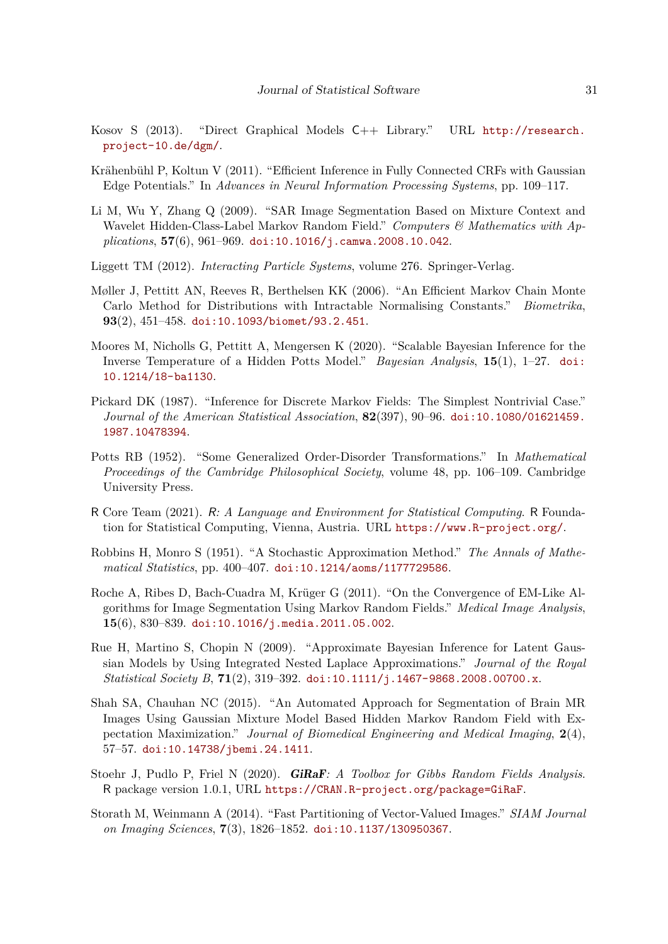- <span id="page-30-5"></span>Kosov S (2013). "Direct Graphical Models C++ Library." URL [http://research.](http://research.project-10.de/dgm/) [project-10.de/dgm/](http://research.project-10.de/dgm/).
- <span id="page-30-6"></span>Krähenbühl P, Koltun V (2011). "Efficient Inference in Fully Connected CRFs with Gaussian Edge Potentials." In *Advances in Neural Information Processing Systems*, pp. 109–117.
- <span id="page-30-13"></span>Li M, Wu Y, Zhang Q (2009). "SAR Image Segmentation Based on Mixture Context and Wavelet Hidden-Class-Label Markov Random Field." *Computers & Mathematics with Applications*, **57**(6), 961–969. [doi:10.1016/j.camwa.2008.10.042](https://doi.org/10.1016/j.camwa.2008.10.042).
- <span id="page-30-0"></span>Liggett TM (2012). *Interacting Particle Systems*, volume 276. Springer-Verlag.
- <span id="page-30-11"></span>Møller J, Pettitt AN, Reeves R, Berthelsen KK (2006). "An Efficient Markov Chain Monte Carlo Method for Distributions with Intractable Normalising Constants." *Biometrika*, **93**(2), 451–458. [doi:10.1093/biomet/93.2.451](https://doi.org/10.1093/biomet/93.2.451).
- <span id="page-30-7"></span>Moores M, Nicholls G, Pettitt A, Mengersen K (2020). "Scalable Bayesian Inference for the Inverse Temperature of a Hidden Potts Model." *Bayesian Analysis*, **15**(1), 1–27. [doi:](https://doi.org/10.1214/18-ba1130) [10.1214/18-ba1130](https://doi.org/10.1214/18-ba1130).
- <span id="page-30-2"></span>Pickard DK (1987). "Inference for Discrete Markov Fields: The Simplest Nontrivial Case." *Journal of the American Statistical Association*, **82**(397), 90–96. [doi:10.1080/01621459.](https://doi.org/10.1080/01621459.1987.10478394) [1987.10478394](https://doi.org/10.1080/01621459.1987.10478394).
- <span id="page-30-10"></span>Potts RB (1952). "Some Generalized Order-Disorder Transformations." In *Mathematical Proceedings of the Cambridge Philosophical Society*, volume 48, pp. 106–109. Cambridge University Press.
- <span id="page-30-3"></span>R Core Team (2021). R*: A Language and Environment for Statistical Computing*. R Foundation for Statistical Computing, Vienna, Austria. URL <https://www.R-project.org/>.
- <span id="page-30-12"></span>Robbins H, Monro S (1951). "A Stochastic Approximation Method." *The Annals of Mathematical Statistics*, pp. 400–407. [doi:10.1214/aoms/1177729586](https://doi.org/10.1214/aoms/1177729586).
- <span id="page-30-1"></span>Roche A, Ribes D, Bach-Cuadra M, Krüger G (2011). "On the Convergence of EM-Like Algorithms for Image Segmentation Using Markov Random Fields." *Medical Image Analysis*, **15**(6), 830–839. [doi:10.1016/j.media.2011.05.002](https://doi.org/10.1016/j.media.2011.05.002).
- <span id="page-30-4"></span>Rue H, Martino S, Chopin N (2009). "Approximate Bayesian Inference for Latent Gaussian Models by Using Integrated Nested Laplace Approximations." *Journal of the Royal Statistical Society B*, **71**(2), 319–392. [doi:10.1111/j.1467-9868.2008.00700.x](https://doi.org/10.1111/j.1467-9868.2008.00700.x).
- <span id="page-30-14"></span>Shah SA, Chauhan NC (2015). "An Automated Approach for Segmentation of Brain MR Images Using Gaussian Mixture Model Based Hidden Markov Random Field with Expectation Maximization." *Journal of Biomedical Engineering and Medical Imaging*, **2**(4), 57–57. [doi:10.14738/jbemi.24.1411](https://doi.org/10.14738/jbemi.24.1411).
- <span id="page-30-8"></span>Stoehr J, Pudlo P, Friel N (2020). GiRaF*: A Toolbox for Gibbs Random Fields Analysis*. R package version 1.0.1, URL <https://CRAN.R-project.org/package=GiRaF>.
- <span id="page-30-9"></span>Storath M, Weinmann A (2014). "Fast Partitioning of Vector-Valued Images." *SIAM Journal on Imaging Sciences*, **7**(3), 1826–1852. [doi:10.1137/130950367](https://doi.org/10.1137/130950367).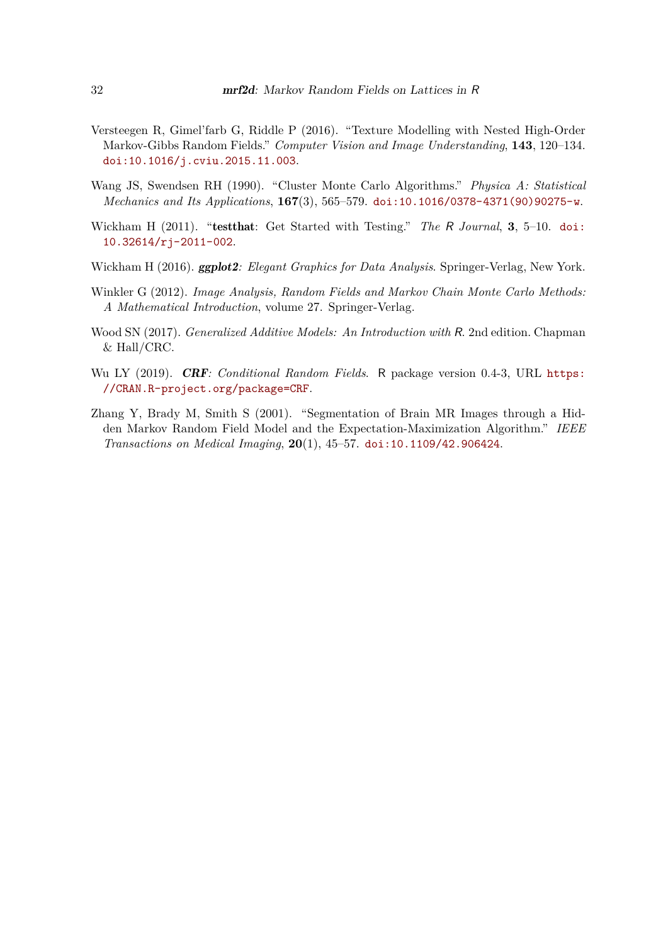- <span id="page-31-1"></span>Versteegen R, Gimel'farb G, Riddle P (2016). "Texture Modelling with Nested High-Order Markov-Gibbs Random Fields." *Computer Vision and Image Understanding*, **143**, 120–134. [doi:10.1016/j.cviu.2015.11.003](https://doi.org/10.1016/j.cviu.2015.11.003).
- <span id="page-31-5"></span>Wang JS, Swendsen RH (1990). "Cluster Monte Carlo Algorithms." *Physica A: Statistical Mechanics and Its Applications*, **167**(3), 565–579. [doi:10.1016/0378-4371\(90\)90275-w](https://doi.org/10.1016/0378-4371(90)90275-w).
- <span id="page-31-7"></span>Wickham H (2011). "testthat: Get Started with Testing." *The* R *Journal*, **3**, 5–10. [doi:](https://doi.org/10.32614/rj-2011-002) [10.32614/rj-2011-002](https://doi.org/10.32614/rj-2011-002).
- <span id="page-31-6"></span>Wickham H (2016). ggplot2*: Elegant Graphics for Data Analysis*. Springer-Verlag, New York.
- <span id="page-31-2"></span>Winkler G (2012). *Image Analysis, Random Fields and Markov Chain Monte Carlo Methods: A Mathematical Introduction*, volume 27. Springer-Verlag.
- <span id="page-31-4"></span>Wood SN (2017). *Generalized Additive Models: An Introduction with* R. 2nd edition. Chapman & Hall/CRC.
- <span id="page-31-3"></span>Wu LY (2019). CRF*: Conditional Random Fields*. R package version 0.4-3, URL [https:](https://CRAN.R-project.org/package=CRF) [//CRAN.R-project.org/package=CRF](https://CRAN.R-project.org/package=CRF).
- <span id="page-31-0"></span>Zhang Y, Brady M, Smith S (2001). "Segmentation of Brain MR Images through a Hidden Markov Random Field Model and the Expectation-Maximization Algorithm." *IEEE Transactions on Medical Imaging*, **20**(1), 45–57. [doi:10.1109/42.906424](https://doi.org/10.1109/42.906424).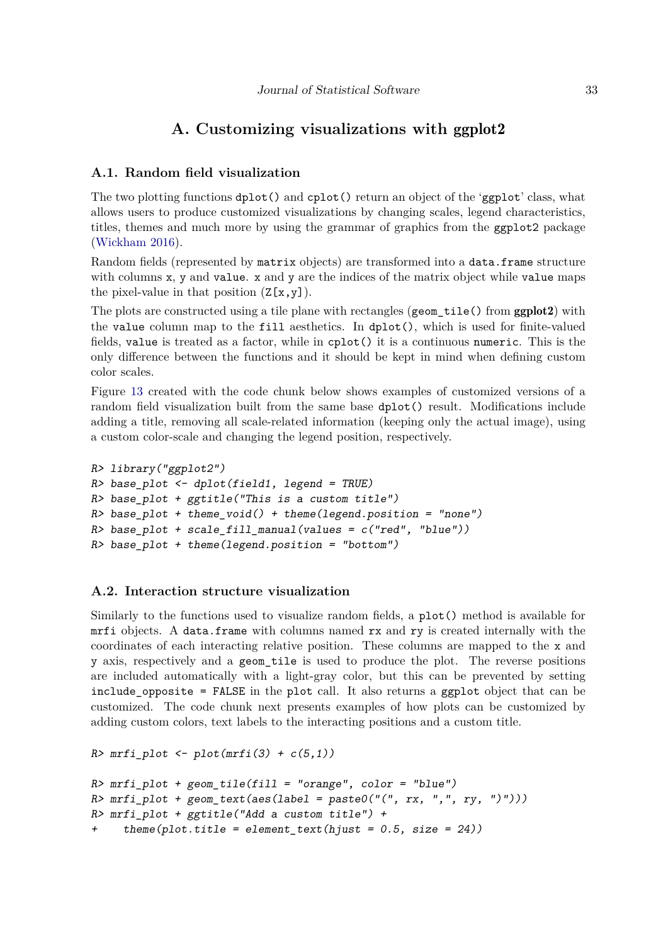## **A. Customizing visualizations with** ggplot2

## <span id="page-32-0"></span>**A.1. Random field visualization**

The two plotting functions dplot() and cplot() return an object of the 'ggplot' class, what allows users to produce customized visualizations by changing scales, legend characteristics, titles, themes and much more by using the grammar of graphics from the ggplot2 package [\(Wickham](#page-31-6) [2016\)](#page-31-6).

Random fields (represented by matrix objects) are transformed into a data.frame structure with columns  $x$ ,  $y$  and value.  $x$  and  $y$  are the indices of the matrix object while value maps the pixel-value in that position  $(Z[x,y])$ .

The plots are constructed using a tile plane with rectangles (geom\_tile() from ggplot2) with the value column map to the fill aesthetics. In dplot(), which is used for finite-valued fields, value is treated as a factor, while in cplot() it is a continuous numeric. This is the only difference between the functions and it should be kept in mind when defining custom color scales.

Figure [13](#page-33-0) created with the code chunk below shows examples of customized versions of a random field visualization built from the same base dplot() result. Modifications include adding a title, removing all scale-related information (keeping only the actual image), using a custom color-scale and changing the legend position, respectively.

```
R> library("ggplot2")
R> base_plot <- dplot(field1, legend = TRUE)
R> base_plot + ggtitle("This is a custom title")
R> base_plot + theme_void() + theme(legend.position = "none")
R> base_plot + scale_fill_manual(values = c("red", "blue"))
R> base_plot + theme(legend.position = "bottom")
```
## **A.2. Interaction structure visualization**

Similarly to the functions used to visualize random fields, a plot() method is available for mrfi objects. A data.frame with columns named rx and ry is created internally with the coordinates of each interacting relative position. These columns are mapped to the x and y axis, respectively and a geom\_tile is used to produce the plot. The reverse positions are included automatically with a light-gray color, but this can be prevented by setting include\_opposite = FALSE in the plot call. It also returns a ggplot object that can be customized. The code chunk next presents examples of how plots can be customized by adding custom colors, text labels to the interacting positions and a custom title.

```
R> mrfi_plot \leftarrow plot(mrfi(3) + c(5,1))R> mrfi_plot + geom_tile(fill = "orange", color = "blue")
R> mrfi_plot + geom_text(aes(label = paste0("(", rx, ",", ry, ")")))
R> mrfi_plot + ggtitle("Add a custom title") +
     theme(plot.title = element_text(hjust = 0.5, size = 24))
```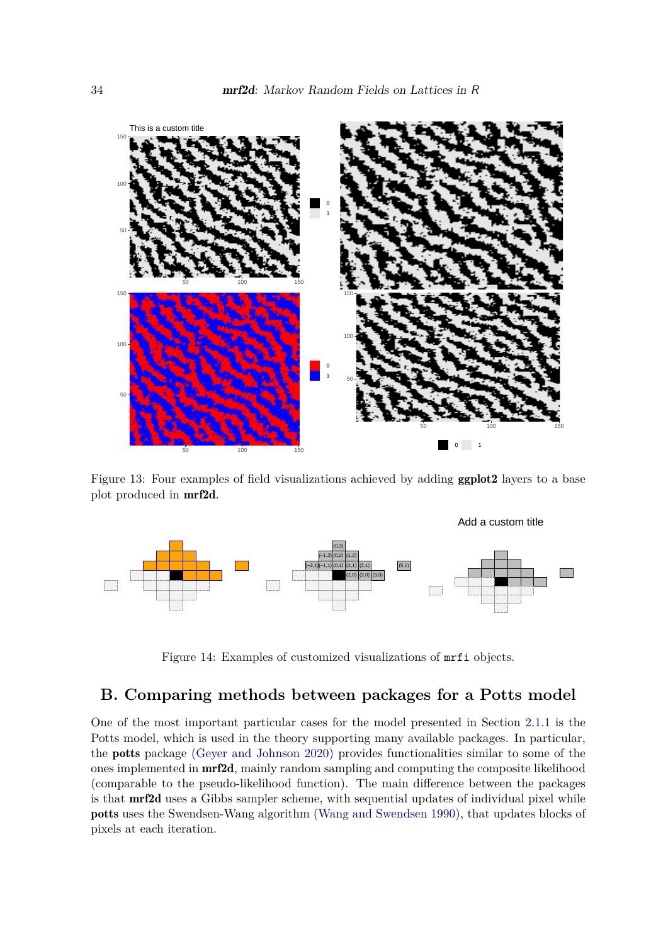

<span id="page-33-0"></span>Figure 13: Four examples of field visualizations achieved by adding ggplot2 layers to a base plot produced in mrf2d.



Figure 14: Examples of customized visualizations of mrfi objects.

## **B. Comparing methods between packages for a Potts model**

One of the most important particular cases for the model presented in Section [2.1.1](#page-4-2) is the Potts model, which is used in the theory supporting many available packages. In particular, the potts package [\(Geyer and Johnson](#page-29-8) [2020\)](#page-29-8) provides functionalities similar to some of the ones implemented in mrf2d, mainly random sampling and computing the composite likelihood (comparable to the pseudo-likelihood function). The main difference between the packages is that mrf2d uses a Gibbs sampler scheme, with sequential updates of individual pixel while potts uses the Swendsen-Wang algorithm [\(Wang and Swendsen](#page-31-5) [1990\)](#page-31-5), that updates blocks of pixels at each iteration.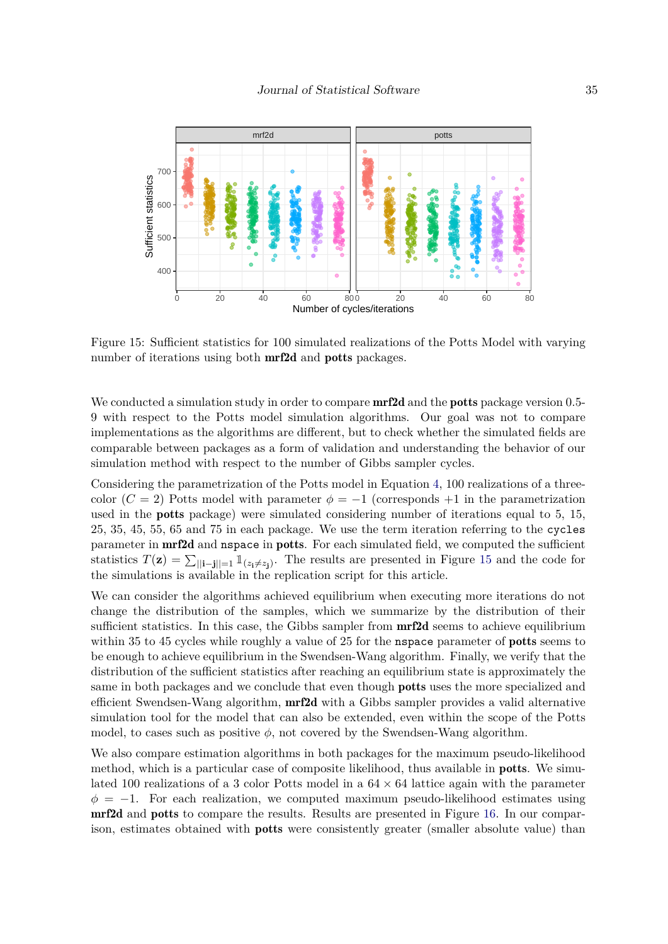

<span id="page-34-0"></span>Figure 15: Sufficient statistics for 100 simulated realizations of the Potts Model with varying number of iterations using both **mrf2d** and **potts** packages.

We conducted a simulation study in order to compare  $\mathrm{mr}2d$  and the **potts** package version 0.5-9 with respect to the Potts model simulation algorithms. Our goal was not to compare implementations as the algorithms are different, but to check whether the simulated fields are comparable between packages as a form of validation and understanding the behavior of our simulation method with respect to the number of Gibbs sampler cycles.

Considering the parametrization of the Potts model in Equation [4,](#page-4-1) 100 realizations of a threecolor  $(C = 2)$  Potts model with parameter  $\phi = -1$  (corresponds +1 in the parametrization used in the potts package) were simulated considering number of iterations equal to 5, 15, 25, 35, 45, 55, 65 and 75 in each package. We use the term iteration referring to the cycles parameter in **mrf2d** and **nspace** in **potts**. For each simulated field, we computed the sufficient statistics  $T(\mathbf{z}) = \sum_{\|\mathbf{i}-\mathbf{j}\| = 1} \mathbb{1}_{(z_i \neq z_j)}$ . The results are presented in Figure [15](#page-34-0) and the code for the simulations is available in the replication script for this article.

We can consider the algorithms achieved equilibrium when executing more iterations do not change the distribution of the samples, which we summarize by the distribution of their sufficient statistics. In this case, the Gibbs sampler from **mrf2d** seems to achieve equilibrium within 35 to 45 cycles while roughly a value of 25 for the **nspace** parameter of **potts** seems to be enough to achieve equilibrium in the Swendsen-Wang algorithm. Finally, we verify that the distribution of the sufficient statistics after reaching an equilibrium state is approximately the same in both packages and we conclude that even though potts uses the more specialized and efficient Swendsen-Wang algorithm, mrf2d with a Gibbs sampler provides a valid alternative simulation tool for the model that can also be extended, even within the scope of the Potts model, to cases such as positive  $\phi$ , not covered by the Swendsen-Wang algorithm.

We also compare estimation algorithms in both packages for the maximum pseudo-likelihood method, which is a particular case of composite likelihood, thus available in potts. We simulated 100 realizations of a 3 color Potts model in a  $64 \times 64$  lattice again with the parameter  $\phi = -1$ . For each realization, we computed maximum pseudo-likelihood estimates using mrf2d and potts to compare the results. Results are presented in Figure [16.](#page-35-0) In our comparison, estimates obtained with potts were consistently greater (smaller absolute value) than